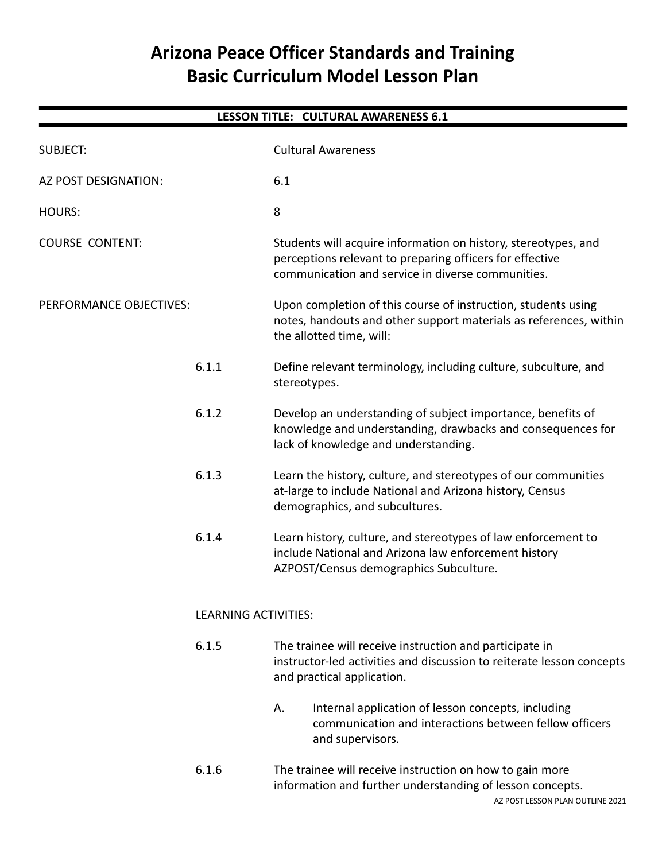# **Arizona Peace Officer Standards and Training Basic Curriculum Model Lesson Plan**

| <b>LESSON TITLE: CULTURAL AWARENESS 6.1</b> |                             |                                                                                                                                                                                 |  |
|---------------------------------------------|-----------------------------|---------------------------------------------------------------------------------------------------------------------------------------------------------------------------------|--|
| <b>SUBJECT:</b>                             |                             | <b>Cultural Awareness</b>                                                                                                                                                       |  |
| AZ POST DESIGNATION:                        |                             | 6.1                                                                                                                                                                             |  |
| <b>HOURS:</b>                               |                             | 8                                                                                                                                                                               |  |
| <b>COURSE CONTENT:</b>                      |                             | Students will acquire information on history, stereotypes, and<br>perceptions relevant to preparing officers for effective<br>communication and service in diverse communities. |  |
| PERFORMANCE OBJECTIVES:                     |                             | Upon completion of this course of instruction, students using<br>notes, handouts and other support materials as references, within<br>the allotted time, will:                  |  |
|                                             | 6.1.1                       | Define relevant terminology, including culture, subculture, and<br>stereotypes.                                                                                                 |  |
|                                             | 6.1.2                       | Develop an understanding of subject importance, benefits of<br>knowledge and understanding, drawbacks and consequences for<br>lack of knowledge and understanding.              |  |
|                                             | 6.1.3                       | Learn the history, culture, and stereotypes of our communities<br>at-large to include National and Arizona history, Census<br>demographics, and subcultures.                    |  |
|                                             | 6.1.4                       | Learn history, culture, and stereotypes of law enforcement to<br>include National and Arizona law enforcement history<br>AZPOST/Census demographics Subculture.                 |  |
|                                             | <b>LEARNING ACTIVITIES:</b> |                                                                                                                                                                                 |  |
|                                             | 6.1.5                       | The trainee will receive instruction and participate in<br>instructor-led activities and discussion to reiterate lesson concepts<br>and practical application.                  |  |
|                                             |                             | Internal application of lesson concepts, including<br>А.<br>communication and interactions between fellow officers<br>and supervisors.                                          |  |
|                                             | 6.1.6                       | The trainee will receive instruction on how to gain more<br>information and further understanding of lesson concepts.                                                           |  |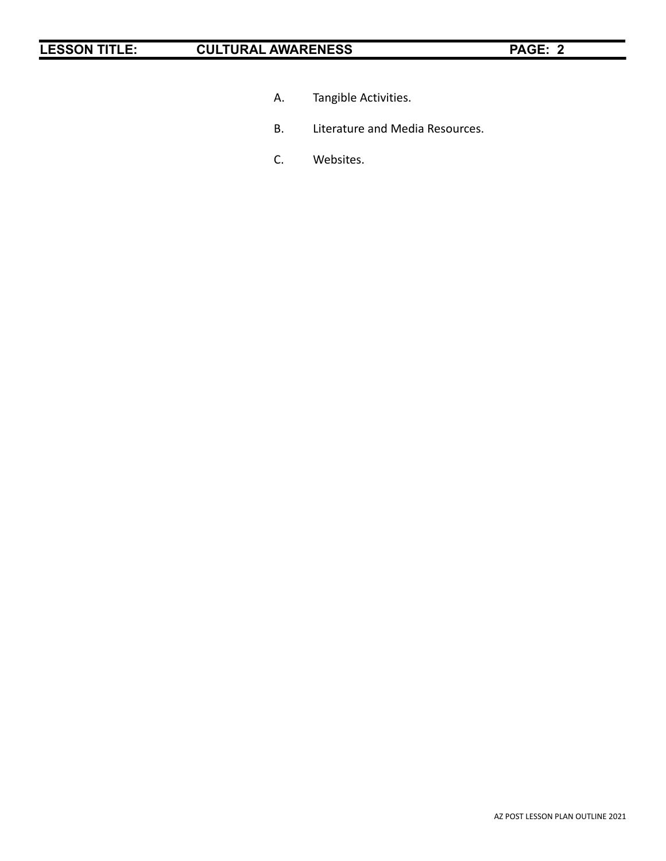- A. Tangible Activities.
- B. Literature and Media Resources.
- C. Websites.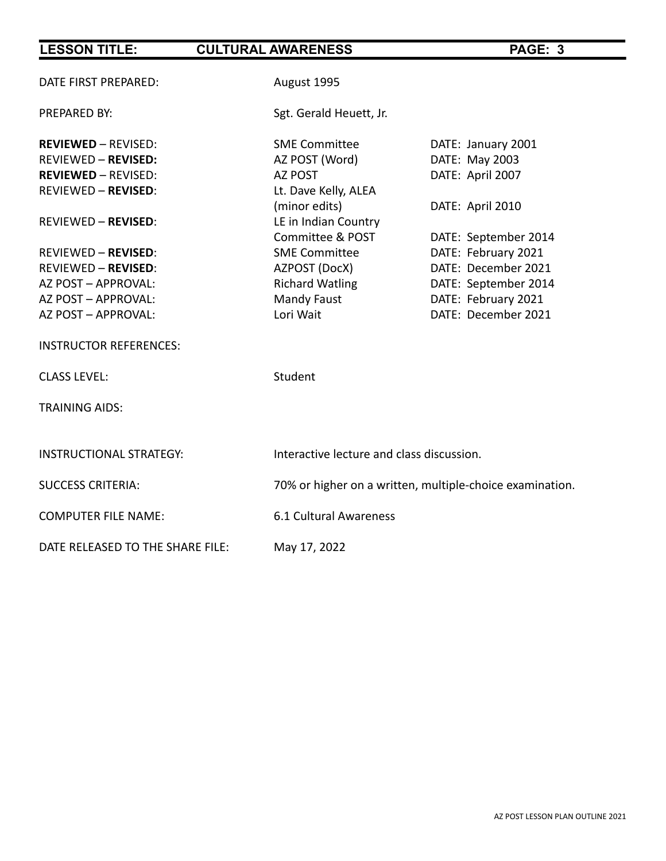| DATE FIRST PREPARED:             | August 1995                                              |                      |  |
|----------------------------------|----------------------------------------------------------|----------------------|--|
| PREPARED BY:                     | Sgt. Gerald Heuett, Jr.                                  |                      |  |
| <b>REVIEWED - REVISED:</b>       | <b>SME Committee</b>                                     | DATE: January 2001   |  |
| <b>REVIEWED - REVISED:</b>       | AZ POST (Word)                                           | DATE: May 2003       |  |
| <b>REVIEWED - REVISED:</b>       | AZ POST                                                  | DATE: April 2007     |  |
| <b>REVIEWED - REVISED:</b>       | Lt. Dave Kelly, ALEA                                     |                      |  |
|                                  | (minor edits)                                            | DATE: April 2010     |  |
| <b>REVIEWED - REVISED:</b>       | LE in Indian Country                                     |                      |  |
|                                  | Committee & POST                                         | DATE: September 2014 |  |
| <b>REVIEWED - REVISED:</b>       | <b>SME Committee</b>                                     | DATE: February 2021  |  |
| <b>REVIEWED - REVISED:</b>       | AZPOST (DocX)                                            | DATE: December 2021  |  |
| AZ POST - APPROVAL:              | <b>Richard Watling</b>                                   | DATE: September 2014 |  |
| AZ POST - APPROVAL:              | <b>Mandy Faust</b>                                       | DATE: February 2021  |  |
| AZ POST - APPROVAL:              | Lori Wait                                                | DATE: December 2021  |  |
| <b>INSTRUCTOR REFERENCES:</b>    |                                                          |                      |  |
| <b>CLASS LEVEL:</b>              | Student                                                  |                      |  |
| <b>TRAINING AIDS:</b>            |                                                          |                      |  |
|                                  |                                                          |                      |  |
| <b>INSTRUCTIONAL STRATEGY:</b>   | Interactive lecture and class discussion.                |                      |  |
| <b>SUCCESS CRITERIA:</b>         | 70% or higher on a written, multiple-choice examination. |                      |  |
| <b>COMPUTER FILE NAME:</b>       | 6.1 Cultural Awareness                                   |                      |  |
| DATE RELEASED TO THE SHARE FILE: | May 17, 2022                                             |                      |  |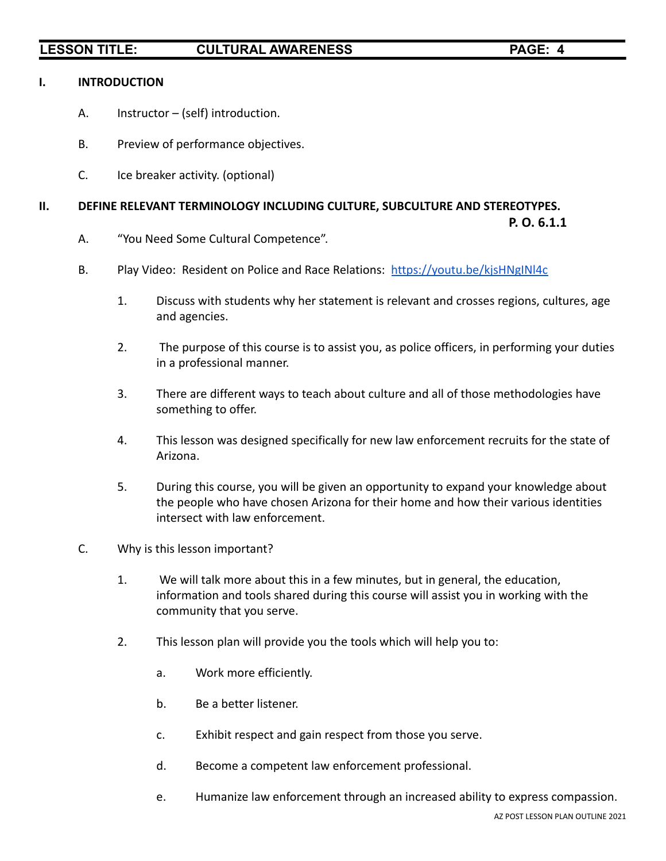### **I. INTRODUCTION**

- A. Instructor (self) introduction.
- B. Preview of performance objectives.
- C. Ice breaker activity. (optional)

### **II. DEFINE RELEVANT TERMINOLOGY INCLUDING CULTURE, SUBCULTURE AND STEREOTYPES.**

**P. O. 6.1.1**

- A. "You Need Some Cultural Competence".
- B. Play Video: Resident on Police and Race Relations: <https://youtu.be/kjsHNgINl4c>
	- 1. Discuss with students why her statement is relevant and crosses regions, cultures, age and agencies.
	- 2. The purpose of this course is to assist you, as police officers, in performing your duties in a professional manner.
	- 3. There are different ways to teach about culture and all of those methodologies have something to offer.
	- 4. This lesson was designed specifically for new law enforcement recruits for the state of Arizona.
	- 5. During this course, you will be given an opportunity to expand your knowledge about the people who have chosen Arizona for their home and how their various identities intersect with law enforcement.
- C. Why is this lesson important?
	- 1. We will talk more about this in a few minutes, but in general, the education, information and tools shared during this course will assist you in working with the community that you serve.
	- 2. This lesson plan will provide you the tools which will help you to:
		- a. Work more efficiently.
		- b. Be a better listener.
		- c. Exhibit respect and gain respect from those you serve.
		- d. Become a competent law enforcement professional.
		- e. Humanize law enforcement through an increased ability to express compassion.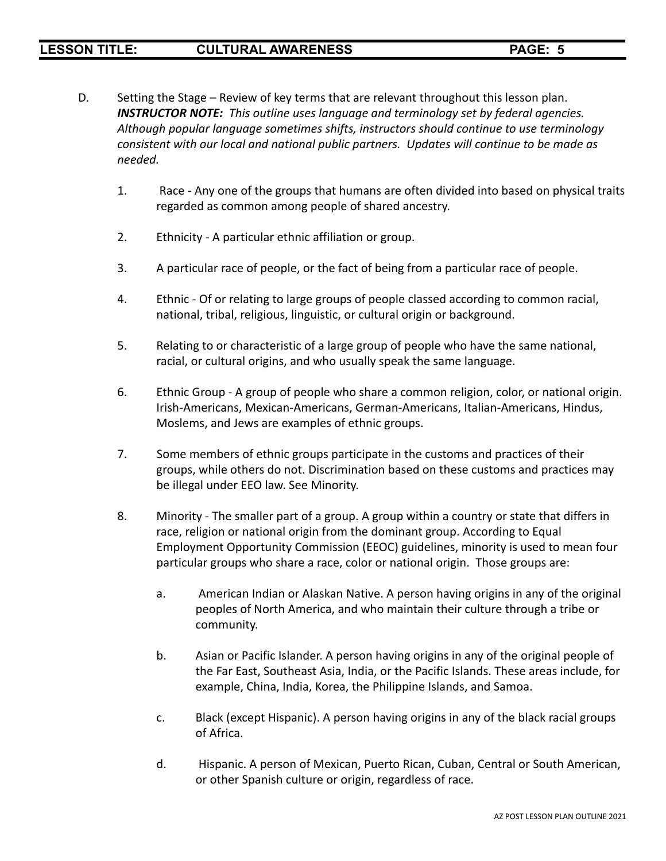- D. Setting the Stage Review of key terms that are relevant throughout this lesson plan. *INSTRUCTOR NOTE: This outline uses language and terminology set by federal agencies. Although popular language sometimes shifts, instructors should continue to use terminology consistent with our local and national public partners. Updates will continue to be made as needed.*
	- 1. Race Any one of the groups that humans are often divided into based on physical traits regarded as common among people of shared ancestry.
	- 2. Ethnicity A particular ethnic affiliation or group.
	- 3. A particular race of people, or the fact of being from a particular race of people.
	- 4. Ethnic Of or relating to large groups of people classed according to common racial, national, tribal, religious, linguistic, or cultural origin or background.
	- 5. Relating to or characteristic of a large group of people who have the same national, racial, or cultural origins, and who usually speak the same language.
	- 6. Ethnic Group A group of people who share a common religion, color, or national origin. Irish-Americans, Mexican-Americans, German-Americans, Italian-Americans, Hindus, Moslems, and Jews are examples of ethnic groups.
	- 7. Some members of ethnic groups participate in the customs and practices of their groups, while others do not. Discrimination based on these customs and practices may be illegal under EEO law. See Minority.
	- 8. Minority The smaller part of a group. A group within a country or state that differs in race, religion or national origin from the dominant group. According to Equal Employment Opportunity Commission (EEOC) guidelines, minority is used to mean four particular groups who share a race, color or national origin. Those groups are:
		- a. American Indian or Alaskan Native. A person having origins in any of the original peoples of North America, and who maintain their culture through a tribe or community.
		- b. Asian or Pacific Islander. A person having origins in any of the original people of the Far East, Southeast Asia, India, or the Pacific Islands. These areas include, for example, China, India, Korea, the Philippine Islands, and Samoa.
		- c. Black (except Hispanic). A person having origins in any of the black racial groups of Africa.
		- d. Hispanic. A person of Mexican, Puerto Rican, Cuban, Central or South American, or other Spanish culture or origin, regardless of race.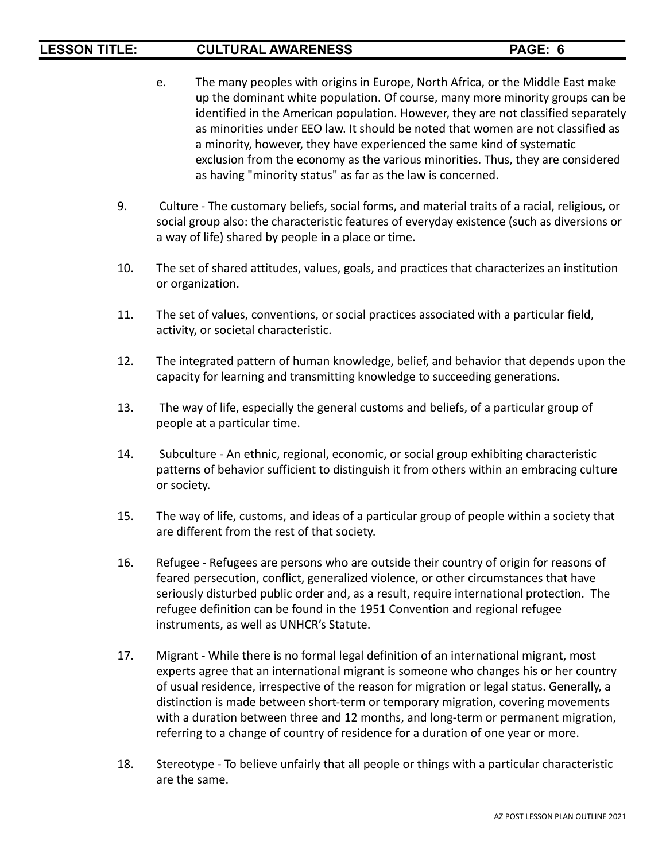- e. The many peoples with origins in Europe, North Africa, or the Middle East make up the dominant white population. Of course, many more minority groups can be identified in the American population. However, they are not classified separately as minorities under EEO law. It should be noted that women are not classified as a minority, however, they have experienced the same kind of systematic exclusion from the economy as the various minorities. Thus, they are considered as having "minority status" as far as the law is concerned.
- 9. Culture The customary beliefs, social forms, and material traits of a racial, religious, or social group also: the characteristic features of everyday existence (such as diversions or a way of life) shared by people in a place or time.
- 10. The set of shared attitudes, values, goals, and practices that characterizes an institution or organization.
- 11. The set of values, conventions, or social practices associated with a particular field, activity, or societal characteristic.
- 12. The integrated pattern of human knowledge, belief, and behavior that depends upon the capacity for learning and transmitting knowledge to succeeding generations.
- 13. The way of life, especially the general customs and beliefs, of a particular group of people at a particular time.
- 14. Subculture An ethnic, regional, economic, or social group exhibiting characteristic patterns of behavior sufficient to distinguish it from others within an embracing culture or society.
- 15. The way of life, customs, and ideas of a particular group of people within a society that are different from the rest of that society.
- 16. Refugee Refugees are persons who are outside their country of origin for reasons of feared persecution, conflict, generalized violence, or other circumstances that have seriously disturbed public order and, as a result, require international protection. The refugee definition can be found in the 1951 Convention and regional refugee instruments, as well as UNHCR's Statute.
- 17. Migrant While there is no formal legal definition of an international migrant, most experts agree that an international migrant is someone who changes his or her country of usual residence, irrespective of the reason for migration or legal status. Generally, a distinction is made between short-term or temporary migration, covering movements with a duration between three and 12 months, and long-term or permanent migration, referring to a change of country of residence for a duration of one year or more.
- 18. Stereotype To believe unfairly that all people or things with a particular characteristic are the same.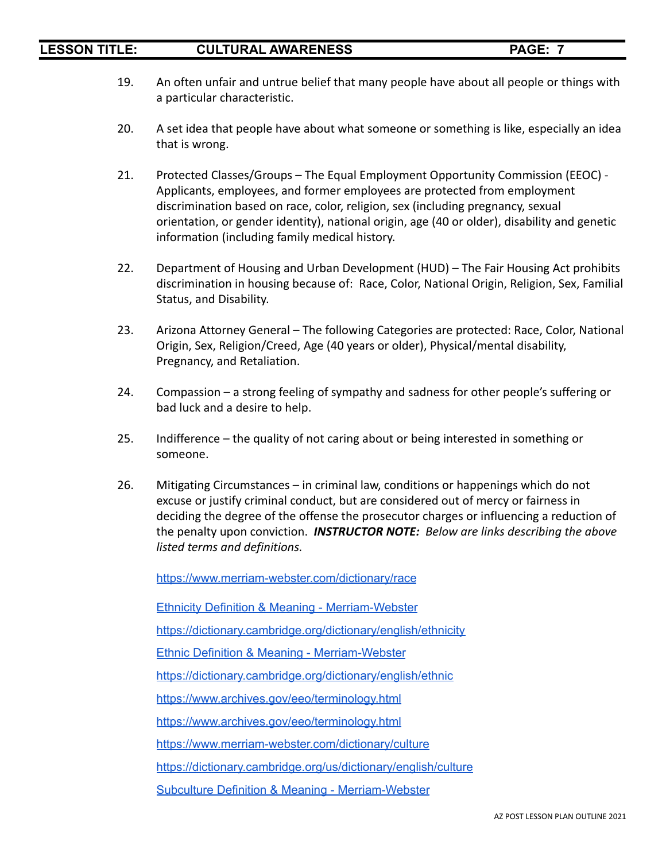- 19. An often unfair and untrue belief that many people have about all people or things with a particular characteristic.
- 20. A set idea that people have about what someone or something is like, especially an idea that is wrong.
- 21. Protected Classes/Groups The Equal Employment Opportunity Commission (EEOC) Applicants, employees, and former employees are protected from employment discrimination based on race, color, religion, sex (including pregnancy, sexual orientation, or gender identity), national origin, age (40 or older), disability and genetic information (including family medical history.
- 22. Department of Housing and Urban Development (HUD) The Fair Housing Act prohibits discrimination in housing because of: Race, Color, National Origin, Religion, Sex, Familial Status, and Disability.
- 23. Arizona Attorney General The following Categories are protected: Race, Color, National Origin, Sex, Religion/Creed, Age (40 years or older), Physical/mental disability, Pregnancy, and Retaliation.
- 24. Compassion a strong feeling of sympathy and sadness for other people's suffering or bad luck and a desire to help.
- 25. Indifference the quality of not caring about or being interested in something or someone.
- 26. Mitigating Circumstances in criminal law, conditions or happenings which do not excuse or justify criminal conduct, but are considered out of mercy or fairness in deciding the degree of the offense the prosecutor charges or influencing a reduction of the penalty upon conviction. *INSTRUCTOR NOTE: Below are links describing the above listed terms and definitions.*

<https://www.merriam-webster.com/dictionary/race>

Ethnicity Definition & Meaning - [Merriam-Webster](https://www.merriam-webster.com/dictionary/ethnicity) <https://dictionary.cambridge.org/dictionary/english/ethnicity> Ethnic Definition & Meaning - [Merriam-Webster](https://www.merriam-webster.com/dictionary/ethnic)

<https://dictionary.cambridge.org/dictionary/english/ethnic>

<https://www.archives.gov/eeo/terminology.html>

<https://www.archives.gov/eeo/terminology.html>

<https://www.merriam-webster.com/dictionary/culture>

<https://dictionary.cambridge.org/us/dictionary/english/culture>

Subculture Definition & Meaning - [Merriam-Webster](https://www.merriam-webster.com/dictionary/subculture)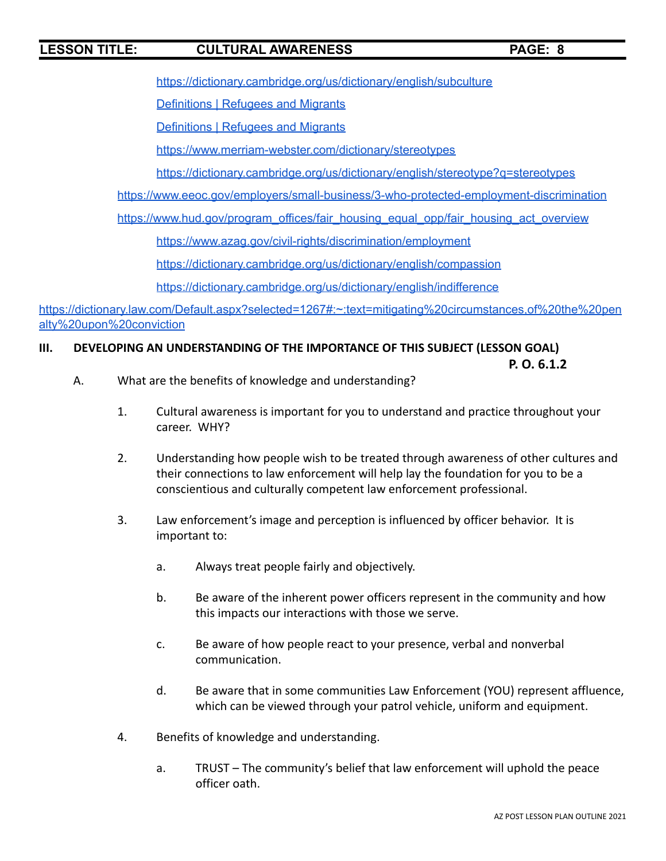<https://dictionary.cambridge.org/us/dictionary/english/subculture>

**[Definitions](https://refugeesmigrants.un.org/definitions) | Refugees and Migrants** 

**[Definitions](https://refugeesmigrants.un.org/definitions) | Refugees and Migrants** 

<https://www.merriam-webster.com/dictionary/stereotypes>

<https://dictionary.cambridge.org/us/dictionary/english/stereotype?q=stereotypes>

<https://www.eeoc.gov/employers/small-business/3-who-protected-employment-discrimination>

[https://www.hud.gov/program\\_offices/fair\\_housing\\_equal\\_opp/fair\\_housing\\_act\\_overview](https://www.hud.gov/program_offices/fair_housing_equal_opp/fair_housing_act_overview)

<https://www.azag.gov/civil-rights/discrimination/employment>

<https://dictionary.cambridge.org/us/dictionary/english/compassion>

<https://dictionary.cambridge.org/us/dictionary/english/indifference>

[https://dictionary.law.com/Default.aspx?selected=1267#:~:text=mitigating%20circumstances,of%20the%20pen](https://dictionary.law.com/Default.aspx?selected=1267#:~:text=mitigating%20circumstances,of%20the%20penalty%20upon%20conviction) [alty%20upon%20conviction](https://dictionary.law.com/Default.aspx?selected=1267#:~:text=mitigating%20circumstances,of%20the%20penalty%20upon%20conviction)

### **III. DEVELOPING AN UNDERSTANDING OF THE IMPORTANCE OF THIS SUBJECT (LESSON GOAL)**

**P. O. 6.1.2**

- A. What are the benefits of knowledge and understanding?
	- 1. Cultural awareness is important for you to understand and practice throughout your career. WHY?
	- 2. Understanding how people wish to be treated through awareness of other cultures and their connections to law enforcement will help lay the foundation for you to be a conscientious and culturally competent law enforcement professional.
	- 3. Law enforcement's image and perception is influenced by officer behavior. It is important to:
		- a. Always treat people fairly and objectively.
		- b. Be aware of the inherent power officers represent in the community and how this impacts our interactions with those we serve.
		- c. Be aware of how people react to your presence, verbal and nonverbal communication.
		- d. Be aware that in some communities Law Enforcement (YOU) represent affluence, which can be viewed through your patrol vehicle, uniform and equipment.
	- 4. Benefits of knowledge and understanding.
		- a. TRUST The community's belief that law enforcement will uphold the peace officer oath.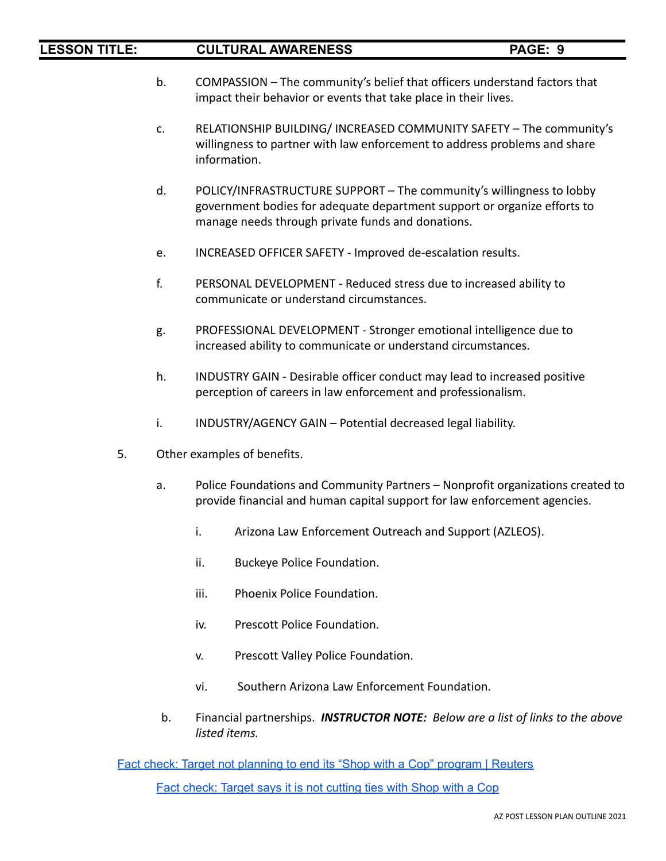- b. COMPASSION The community's belief that officers understand factors that impact their behavior or events that take place in their lives.
- c. RELATIONSHIP BUILDING/ INCREASED COMMUNITY SAFETY The community's willingness to partner with law enforcement to address problems and share information.
- d. POLICY/INFRASTRUCTURE SUPPORT The community's willingness to lobby government bodies for adequate department support or organize efforts to manage needs through private funds and donations.
- e. INCREASED OFFICER SAFETY Improved de-escalation results.
- f. PERSONAL DEVELOPMENT Reduced stress due to increased ability to communicate or understand circumstances.
- g. PROFESSIONAL DEVELOPMENT Stronger emotional intelligence due to increased ability to communicate or understand circumstances.
- h. INDUSTRY GAIN Desirable officer conduct may lead to increased positive perception of careers in law enforcement and professionalism.
- i. INDUSTRY/AGENCY GAIN Potential decreased legal liability.
- 5. Other examples of benefits.
	- a. Police Foundations and Community Partners Nonprofit organizations created to provide financial and human capital support for law enforcement agencies.
		- i. Arizona Law Enforcement Outreach and Support (AZLEOS).
		- ii. Buckeye Police Foundation.
		- iii. Phoenix Police Foundation.
		- iv. Prescott Police Foundation.
		- v. Prescott Valley Police Foundation.
		- vi. Southern Arizona Law Enforcement Foundation.
	- b. Financial partnerships. *INSTRUCTOR NOTE: Below are a list of links to the above listed items.*

Fact check: Target not [planning](https://www.reuters.com/article/uk-factcheck-target-not-ending-shop-with/fact-check-target-not-planning-to-end-its-shop-with-a-cop-program-idUSKCN24T25R) to end its "Shop with a Cop" program | Reuters

Fact check: Target says it is not [cutting](https://www.usatoday.com/story/news/factcheck/2020/08/11/fact-check-target-says-not-cutting-ties-shop-cop/5537179002/) ties with Shop with a Cop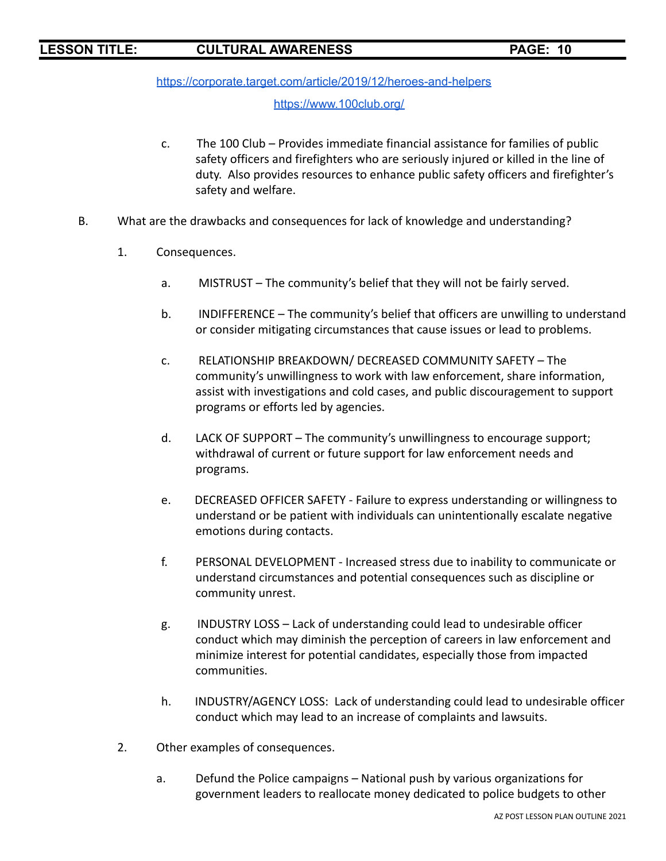<https://corporate.target.com/article/2019/12/heroes-and-helpers>

### <https://www.100club.org/>

- c. The 100 Club Provides immediate financial assistance for families of public safety officers and firefighters who are seriously injured or killed in the line of duty. Also provides resources to enhance public safety officers and firefighter's safety and welfare.
- B. What are the drawbacks and consequences for lack of knowledge and understanding?
	- 1. Consequences.
		- a. MISTRUST The community's belief that they will not be fairly served.
		- b. INDIFFERENCE The community's belief that officers are unwilling to understand or consider mitigating circumstances that cause issues or lead to problems.
		- c. RELATIONSHIP BREAKDOWN/ DECREASED COMMUNITY SAFETY The community's unwillingness to work with law enforcement, share information, assist with investigations and cold cases, and public discouragement to support programs or efforts led by agencies.
		- d. LACK OF SUPPORT The community's unwillingness to encourage support; withdrawal of current or future support for law enforcement needs and programs.
		- e. DECREASED OFFICER SAFETY Failure to express understanding or willingness to understand or be patient with individuals can unintentionally escalate negative emotions during contacts.
		- f. PERSONAL DEVELOPMENT Increased stress due to inability to communicate or understand circumstances and potential consequences such as discipline or community unrest.
		- g. INDUSTRY LOSS Lack of understanding could lead to undesirable officer conduct which may diminish the perception of careers in law enforcement and minimize interest for potential candidates, especially those from impacted communities.
		- h. INDUSTRY/AGENCY LOSS: Lack of understanding could lead to undesirable officer conduct which may lead to an increase of complaints and lawsuits.
	- 2. Other examples of consequences.
		- a. Defund the Police campaigns National push by various organizations for government leaders to reallocate money dedicated to police budgets to other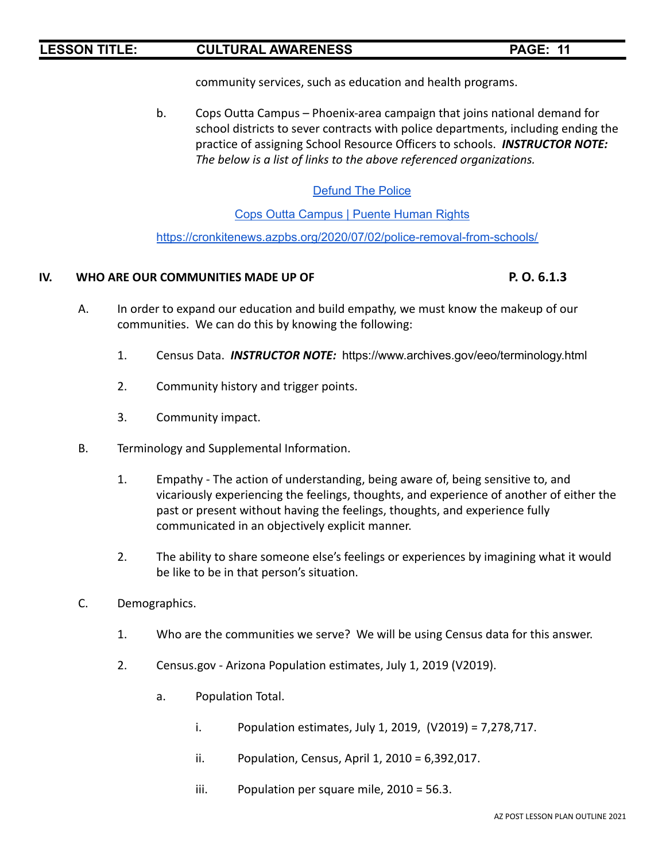community services, such as education and health programs.

b. Cops Outta Campus – Phoenix-area campaign that joins national demand for school districts to sever contracts with police departments, including ending the practice of assigning School Resource Officers to schools. *INSTRUCTOR NOTE: The below is a list of links to the above referenced organizations.*

# [Defund](https://defundthepolice.org/) The Police

Cops Outta [Campus](https://puenteaz.org/copsouttacampus/) | Puente Human Rights

<https://cronkitenews.azpbs.org/2020/07/02/police-removal-from-schools/>

### **IV. WHO ARE OUR COMMUNITIES MADE UP OF P. O. 6.1.3**

- A. In order to expand our education and build empathy, we must know the makeup of our communities. We can do this by knowing the following:
	- 1. Census Data. *INSTRUCTOR NOTE:* https://www.archives.gov/eeo/terminology.html
	- 2. Community history and trigger points.
	- 3. Community impact.
- B. Terminology and Supplemental Information.
	- 1. Empathy The action of understanding, being aware of, being sensitive to, and vicariously experiencing the feelings, thoughts, and experience of another of either the past or present without having the feelings, thoughts, and experience fully communicated in an objectively explicit manner.
	- 2. The ability to share someone else's feelings or experiences by imagining what it would be like to be in that person's situation.
- C. Demographics.
	- 1. Who are the communities we serve? We will be using Census data for this answer.
	- 2. Census.gov Arizona Population estimates, July 1, 2019 (V2019).
		- a. Population Total.
			- i. Population estimates, July 1, 2019, (V2019) = 7,278,717.
			- ii. Population, Census, April 1, 2010 = 6,392,017.
			- iii. Population per square mile, 2010 = 56.3.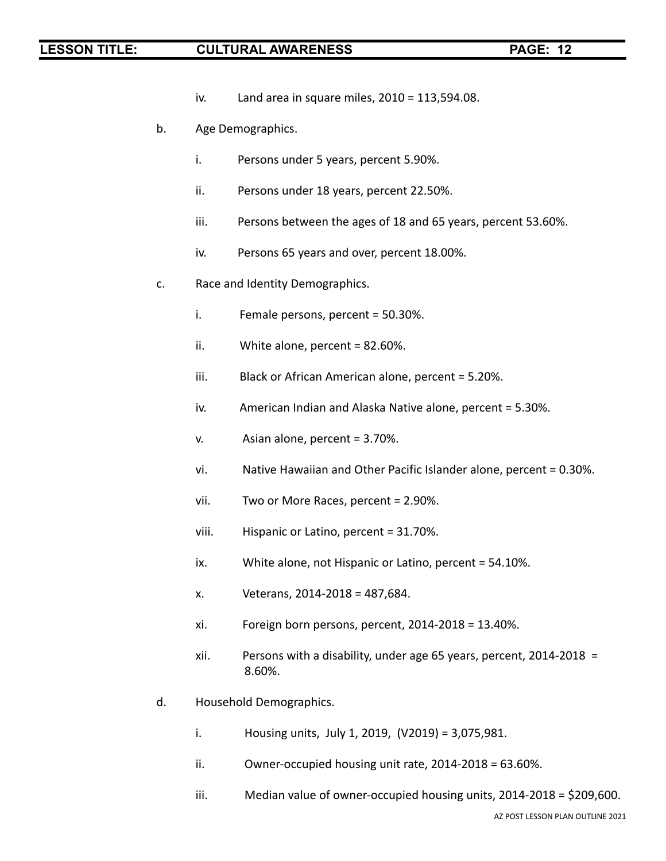- iv. Land area in square miles, 2010 = 113,594.08.
- b. Age Demographics.
	- i. Persons under 5 years, percent 5.90%.
	- ii. Persons under 18 years, percent 22.50%.
	- iii. Persons between the ages of 18 and 65 years, percent 53.60%.
	- iv. Persons 65 years and over, percent 18.00%.
- c. Race and Identity Demographics.
	- i. Female persons, percent = 50.30%.
	- ii. White alone, percent = 82.60%.
	- iii. Black or African American alone, percent = 5.20%.
	- iv. American Indian and Alaska Native alone, percent = 5.30%.
	- v. Asian alone, percent = 3.70%.
	- vi. Native Hawaiian and Other Pacific Islander alone, percent = 0.30%.
	- vii. Two or More Races, percent = 2.90%.
	- viii. Hispanic or Latino, percent = 31.70%.
	- ix. White alone, not Hispanic or Latino, percent = 54.10%.
	- x. Veterans, 2014-2018 = 487,684.
	- xi. Foreign born persons, percent, 2014-2018 = 13.40%.
	- xii. Persons with a disability, under age 65 years, percent, 2014-2018 = 8.60%.
- d. Household Demographics.
	- i. Housing units, July 1, 2019, (V2019) = 3,075,981.
	- ii. Owner-occupied housing unit rate, 2014-2018 = 63.60%.
	- iii. Median value of owner-occupied housing units, 2014-2018 = \$209,600.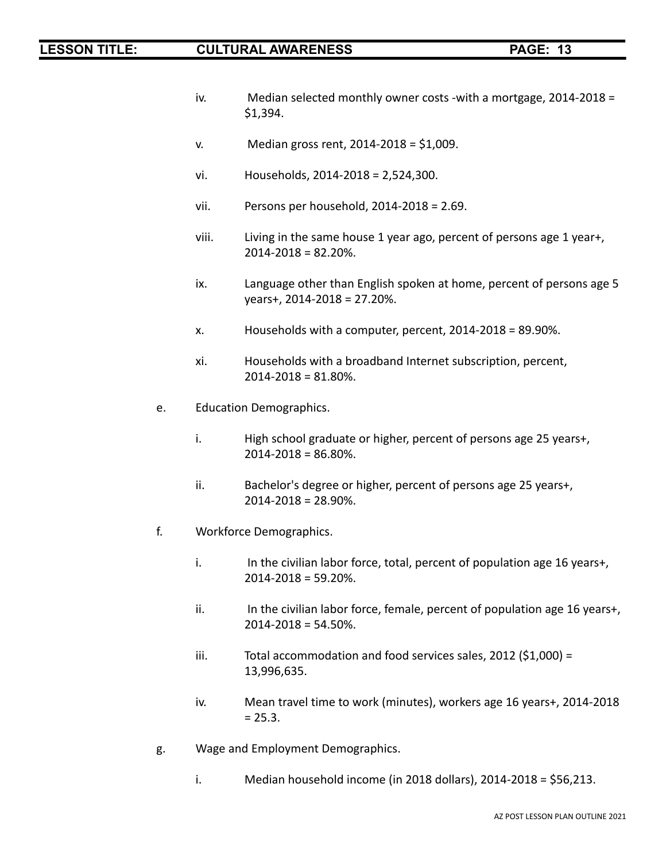- iv. Median selected monthly owner costs -with a mortgage,  $2014-2018 =$ \$1,394.
- v. Median gross rent, 2014-2018 = \$1,009.
- vi. Households, 2014-2018 = 2,524,300.
- vii. Persons per household, 2014-2018 = 2.69.
- viii. Living in the same house 1 year ago, percent of persons age 1 year+, 2014-2018 = 82.20%.
- ix. Language other than English spoken at home, percent of persons age 5 years+, 2014-2018 = 27.20%.
- x. Households with a computer, percent, 2014-2018 = 89.90%.
- xi. Households with a broadband Internet subscription, percent, 2014-2018 = 81.80%.
- e. Education Demographics.
	- i. High school graduate or higher, percent of persons age 25 years+,  $2014 - 2018 = 86.80\%$ .
	- ii. Bachelor's degree or higher, percent of persons age 25 years+, 2014-2018 = 28.90%.
- f. Workforce Demographics.
	- i. In the civilian labor force, total, percent of population age 16 years+, 2014-2018 = 59.20%.
	- ii. In the civilian labor force, female, percent of population age 16 years+,  $2014 - 2018 = 54.50\%$ .
	- iii. Total accommodation and food services sales, 2012 (\$1,000) = 13,996,635.
	- iv. Mean travel time to work (minutes), workers age 16 years+, 2014-2018  $= 25.3.$
- g. Wage and Employment Demographics.
	- i. Median household income (in 2018 dollars), 2014-2018 = \$56,213.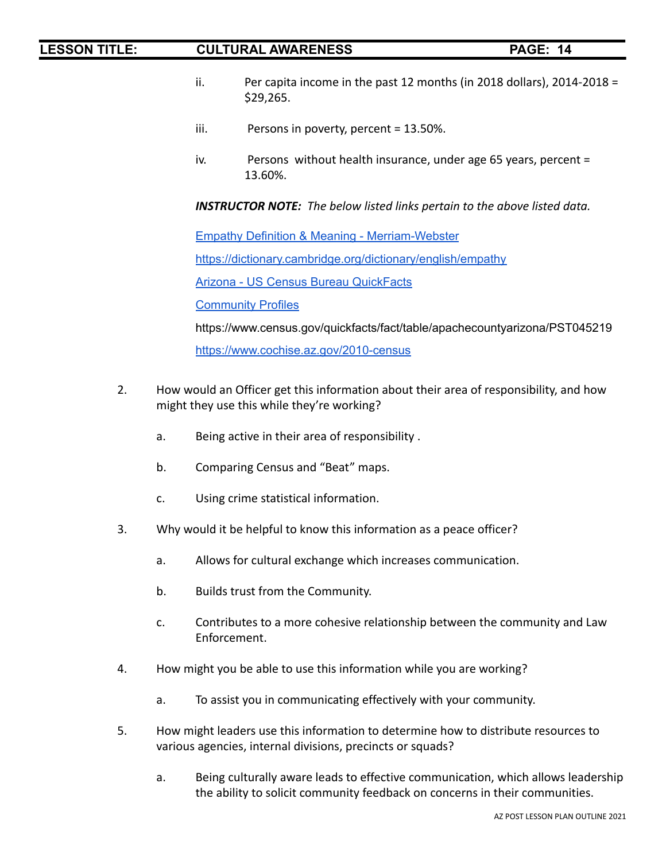- ii. Per capita income in the past 12 months (in 2018 dollars), 2014-2018 = \$29,265.
- iii. Persons in poverty, percent = 13.50%.
- iv. Persons without health insurance, under age 65 years, percent = 13.60%.

*INSTRUCTOR NOTE: The below listed links pertain to the above listed data.*

Empathy Definition & Meaning - [Merriam-Webster](https://www.merriam-webster.com/dictionary/empathy)

<https://dictionary.cambridge.org/dictionary/english/empathy>

Arizona - US Census Bureau [QuickFacts](https://www.census.gov/quickfacts/fact/table/AZ/PST045219)

**[Community](https://www.azmag.gov/Programs/Maps-and-Data/Community-Profiles) Profiles** 

<https://www.census.gov/quickfacts/fact/table/apachecountyarizona/PST045219>

<https://www.cochise.az.gov/2010-census>

- 2. How would an Officer get this information about their area of responsibility, and how might they use this while they're working?
	- a. Being active in their area of responsibility .
	- b. Comparing Census and "Beat" maps.
	- c. Using crime statistical information.
- 3. Why would it be helpful to know this information as a peace officer?
	- a. Allows for cultural exchange which increases communication.
	- b. Builds trust from the Community.
	- c. Contributes to a more cohesive relationship between the community and Law Enforcement.
- 4. How might you be able to use this information while you are working?
	- a. To assist you in communicating effectively with your community.
- 5. How might leaders use this information to determine how to distribute resources to various agencies, internal divisions, precincts or squads?
	- a. Being culturally aware leads to effective communication, which allows leadership the ability to solicit community feedback on concerns in their communities.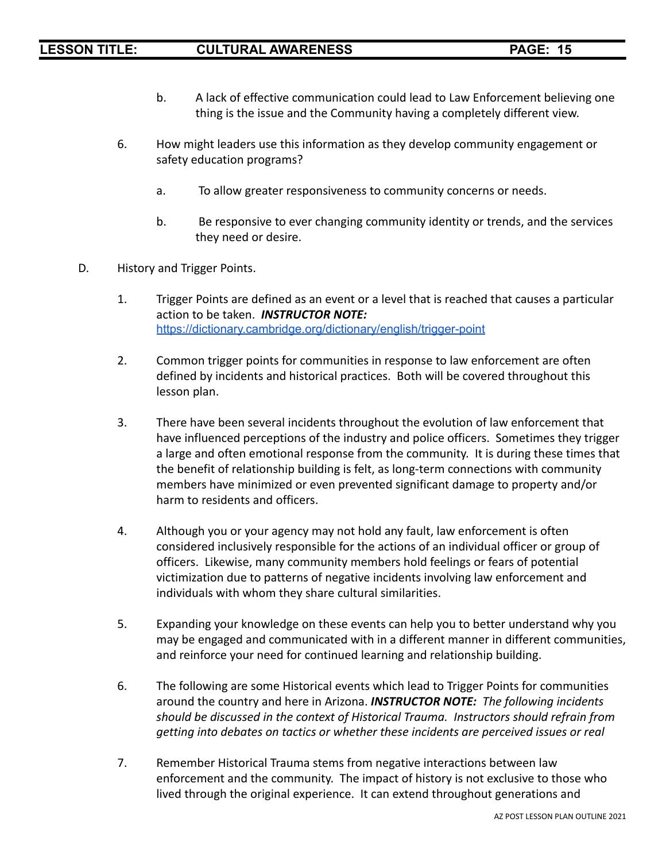- b. A lack of effective communication could lead to Law Enforcement believing one thing is the issue and the Community having a completely different view.
- 6. How might leaders use this information as they develop community engagement or safety education programs?
	- a. To allow greater responsiveness to community concerns or needs.
	- b. Be responsive to ever changing community identity or trends, and the services they need or desire.
- D. History and Trigger Points.
	- 1. Trigger Points are defined as an event or a level that is reached that causes a particular action to be taken. *INSTRUCTOR NOTE:* <https://dictionary.cambridge.org/dictionary/english/trigger-point>
	- 2. Common trigger points for communities in response to law enforcement are often defined by incidents and historical practices. Both will be covered throughout this lesson plan.
	- 3. There have been several incidents throughout the evolution of law enforcement that have influenced perceptions of the industry and police officers. Sometimes they trigger a large and often emotional response from the community. It is during these times that the benefit of relationship building is felt, as long-term connections with community members have minimized or even prevented significant damage to property and/or harm to residents and officers.
	- 4. Although you or your agency may not hold any fault, law enforcement is often considered inclusively responsible for the actions of an individual officer or group of officers. Likewise, many community members hold feelings or fears of potential victimization due to patterns of negative incidents involving law enforcement and individuals with whom they share cultural similarities.
	- 5. Expanding your knowledge on these events can help you to better understand why you may be engaged and communicated with in a different manner in different communities, and reinforce your need for continued learning and relationship building.
	- 6. The following are some Historical events which lead to Trigger Points for communities around the country and here in Arizona. *INSTRUCTOR NOTE: The following incidents should be discussed in the context of Historical Trauma. Instructors should refrain from getting into debates on tactics or whether these incidents are perceived issues or real*
	- 7. Remember Historical Trauma stems from negative interactions between law enforcement and the community. The impact of history is not exclusive to those who lived through the original experience. It can extend throughout generations and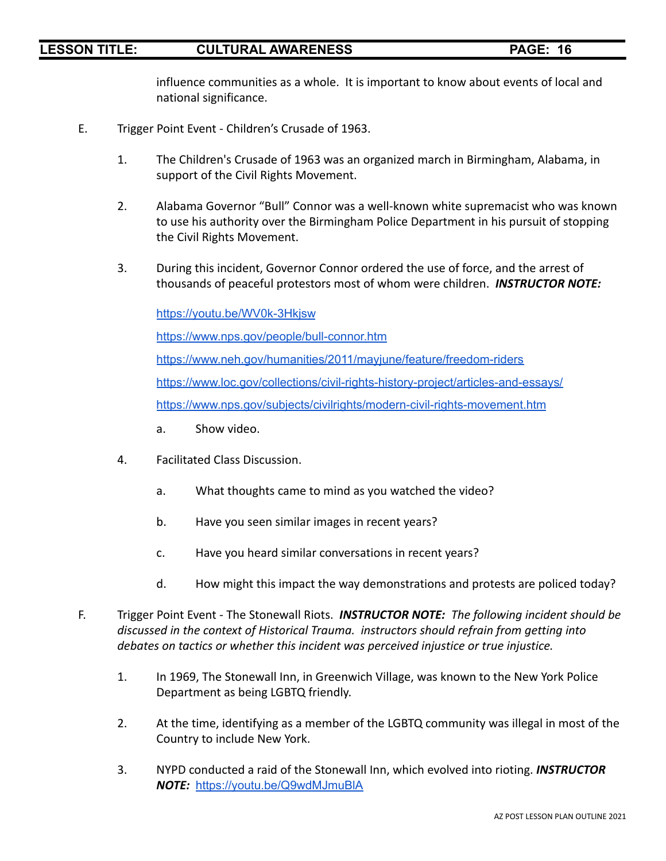influence communities as a whole. It is important to know about events of local and national significance.

- E. Trigger Point Event Children's Crusade of 1963.
	- 1. The Children's Crusade of 1963 was an organized march in Birmingham, Alabama, in support of the Civil Rights Movement.
	- 2. Alabama Governor "Bull" Connor was a well-known white supremacist who was known to use his authority over the Birmingham Police Department in his pursuit of stopping the Civil Rights Movement.
	- 3. During this incident, Governor Connor ordered the use of force, and the arrest of thousands of peaceful protestors most of whom were children. *INSTRUCTOR NOTE:*

<https://youtu.be/WV0k-3Hkjsw> <https://www.nps.gov/people/bull-connor.htm> <https://www.neh.gov/humanities/2011/mayjune/feature/freedom-riders> <https://www.loc.gov/collections/civil-rights-history-project/articles-and-essays/> <https://www.nps.gov/subjects/civilrights/modern-civil-rights-movement.htm>

- a. Show video.
- 4. Facilitated Class Discussion.
	- a. What thoughts came to mind as you watched the video?
	- b. Have you seen similar images in recent years?
	- c. Have you heard similar conversations in recent years?
	- d. How might this impact the way demonstrations and protests are policed today?
- F. Trigger Point Event The Stonewall Riots. *INSTRUCTOR NOTE: The following incident should be discussed in the context of Historical Trauma. instructors should refrain from getting into debates on tactics or whether this incident was perceived injustice or true injustice.*
	- 1. In 1969, The Stonewall Inn, in Greenwich Village, was known to the New York Police Department as being LGBTQ friendly.
	- 2. At the time, identifying as a member of the LGBTQ community was illegal in most of the Country to include New York.
	- 3. NYPD conducted a raid of the Stonewall Inn, which evolved into rioting. *INSTRUCTOR NOTE:* <https://youtu.be/Q9wdMJmuBlA>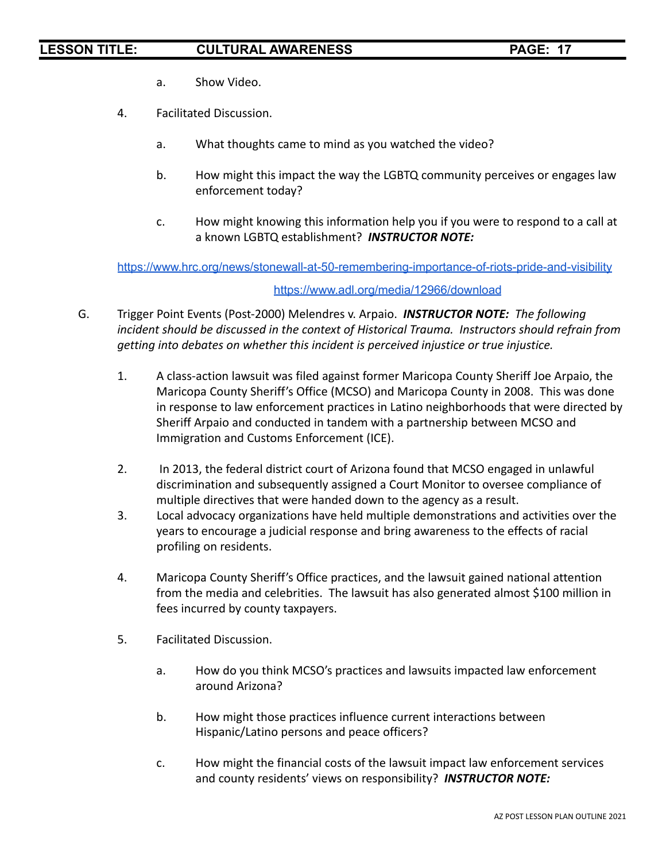- a. Show Video.
- 4. Facilitated Discussion.
	- a. What thoughts came to mind as you watched the video?
	- b. How might this impact the way the LGBTQ community perceives or engages law enforcement today?
	- c. How might knowing this information help you if you were to respond to a call at a known LGBTQ establishment? *INSTRUCTOR NOTE:*

<https://www.hrc.org/news/stonewall-at-50-remembering-importance-of-riots-pride-and-visibility>

### <https://www.adl.org/media/12966/download>

- G. Trigger Point Events (Post-2000) Melendres v. Arpaio. *INSTRUCTOR NOTE: The following incident should be discussed in the context of Historical Trauma. Instructors should refrain from getting into debates on whether this incident is perceived injustice or true injustice.*
	- 1. A class-action lawsuit was filed against former Maricopa County Sheriff Joe Arpaio, the Maricopa County Sheriff's Office (MCSO) and Maricopa County in 2008. This was done in response to law enforcement practices in Latino neighborhoods that were directed by Sheriff Arpaio and conducted in tandem with a partnership between MCSO and Immigration and Customs Enforcement (ICE).
	- 2. In 2013, the federal district court of Arizona found that MCSO engaged in unlawful discrimination and subsequently assigned a Court Monitor to oversee compliance of multiple directives that were handed down to the agency as a result.
	- 3. Local advocacy organizations have held multiple demonstrations and activities over the years to encourage a judicial response and bring awareness to the effects of racial profiling on residents.
	- 4. Maricopa County Sheriff's Office practices, and the lawsuit gained national attention from the media and celebrities. The lawsuit has also generated almost \$100 million in fees incurred by county taxpayers.
	- 5. Facilitated Discussion.
		- a. How do you think MCSO's practices and lawsuits impacted law enforcement around Arizona?
		- b. How might those practices influence current interactions between Hispanic/Latino persons and peace officers?
		- c. How might the financial costs of the lawsuit impact law enforcement services and county residents' views on responsibility? *INSTRUCTOR NOTE:*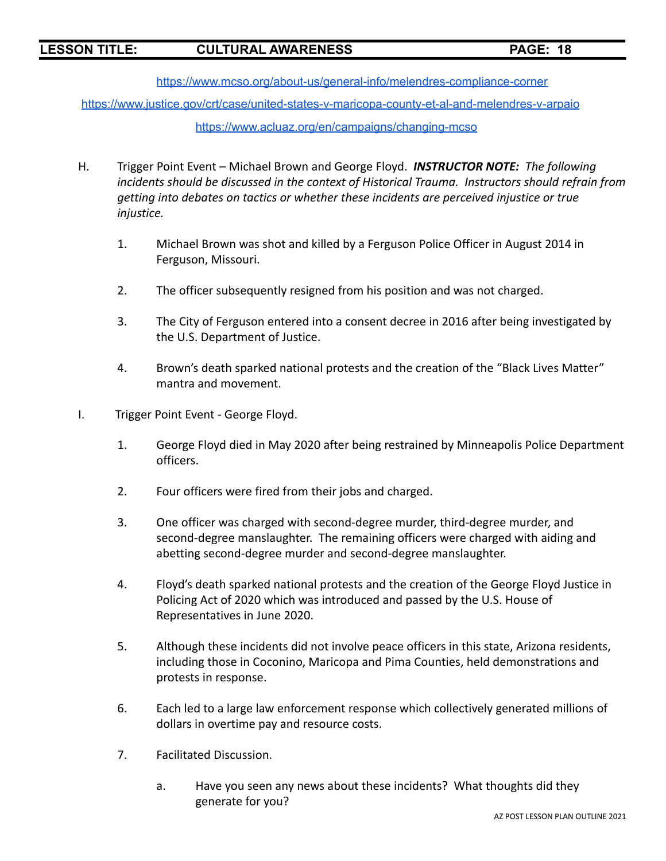<https://www.mcso.org/about-us/general-info/melendres-compliance-corner>

<https://www.justice.gov/crt/case/united-states-v-maricopa-county-et-al-and-melendres-v-arpaio>

### <https://www.acluaz.org/en/campaigns/changing-mcso>

- H. Trigger Point Event Michael Brown and George Floyd. *INSTRUCTOR NOTE: The following incidents should be discussed in the context of Historical Trauma. Instructors should refrain from getting into debates on tactics or whether these incidents are perceived injustice or true injustice.*
	- 1. Michael Brown was shot and killed by a Ferguson Police Officer in August 2014 in Ferguson, Missouri.
	- 2. The officer subsequently resigned from his position and was not charged.
	- 3. The City of Ferguson entered into a consent decree in 2016 after being investigated by the U.S. Department of Justice.
	- 4. Brown's death sparked national protests and the creation of the "Black Lives Matter" mantra and movement.
- I. Trigger Point Event George Floyd.
	- 1. George Floyd died in May 2020 after being restrained by Minneapolis Police Department officers.
	- 2. Four officers were fired from their jobs and charged.
	- 3. One officer was charged with second-degree murder, third-degree murder, and second-degree manslaughter. The remaining officers were charged with aiding and abetting second-degree murder and second-degree manslaughter.
	- 4. Floyd's death sparked national protests and the creation of the George Floyd Justice in Policing Act of 2020 which was introduced and passed by the U.S. House of Representatives in June 2020.
	- 5. Although these incidents did not involve peace officers in this state, Arizona residents, including those in Coconino, Maricopa and Pima Counties, held demonstrations and protests in response.
	- 6. Each led to a large law enforcement response which collectively generated millions of dollars in overtime pay and resource costs.
	- 7. Facilitated Discussion.
		- a. Have you seen any news about these incidents? What thoughts did they generate for you?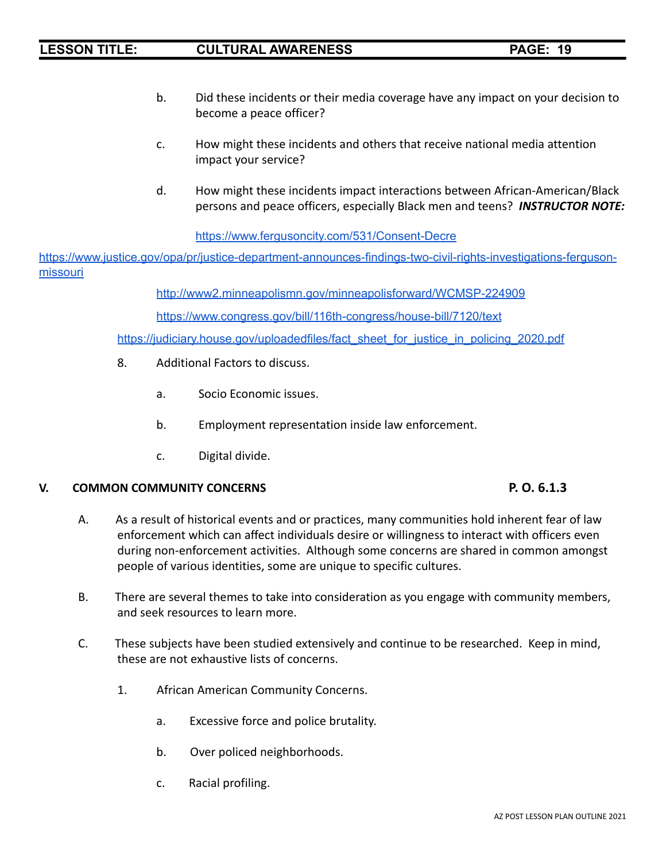- b. Did these incidents or their media coverage have any impact on your decision to become a peace officer?
- c. How might these incidents and others that receive national media attention impact your service?
- d. How might these incidents impact interactions between African-American/Black persons and peace officers, especially Black men and teens? *INSTRUCTOR NOTE:*

<https://www.fergusoncity.com/531/Consent-Decre>

[https://www.justice.gov/opa/pr/justice-department-announces-findings-two-civil-rights-investigations-ferguson](https://www.justice.gov/opa/pr/justice-department-announces-findings-two-civil-rights-investigations-ferguson-missouri)[missouri](https://www.justice.gov/opa/pr/justice-department-announces-findings-two-civil-rights-investigations-ferguson-missouri)

<http://www2.minneapolismn.gov/minneapolisforward/WCMSP-224909>

<https://www.congress.gov/bill/116th-congress/house-bill/7120/text>

[https://judiciary.house.gov/uploadedfiles/fact\\_sheet\\_for\\_justice\\_in\\_policing\\_2020.pdf](https://judiciary.house.gov/uploadedfiles/fact_sheet_for_justice_in_policing_2020.pdf)

- 8. Additional Factors to discuss.
	- a. Socio Economic issues.
	- b. Employment representation inside law enforcement.
	- c. Digital divide.

### **V. COMMON COMMUNITY CONCERNS P. O. 6.1.3**

- A. As a result of historical events and or practices, many communities hold inherent fear of law enforcement which can affect individuals desire or willingness to interact with officers even during non-enforcement activities. Although some concerns are shared in common amongst people of various identities, some are unique to specific cultures.
- B. There are several themes to take into consideration as you engage with community members, and seek resources to learn more.
- C. These subjects have been studied extensively and continue to be researched. Keep in mind, these are not exhaustive lists of concerns.
	- 1. African American Community Concerns.
		- a. Excessive force and police brutality.
		- b. Over policed neighborhoods.
		- c. Racial profiling.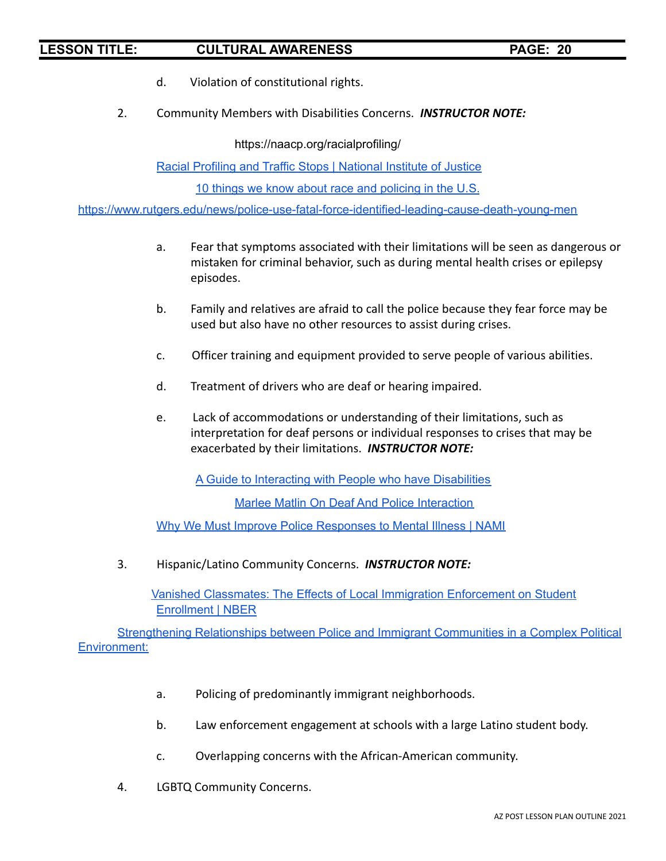- d. Violation of constitutional rights.
- 2. Community Members with Disabilities Concerns. *INSTRUCTOR NOTE:*

<https://naacp.org/racialprofiling/>

Racial Profiling and Traffic Stops | [National](https://nij.ojp.gov/topics/articles/racial-profiling-and-traffic-stops) Institute of Justice

10 things we know about race and [policing](https://www.pewresearch.org/fact-tank/2020/06/03/10-things-we-know-about-race-and-policing-in-the-u-s/) in the U.S.

<https://www.rutgers.edu/news/police-use-fatal-force-identified-leading-cause-death-young-men>

- a. Fear that symptoms associated with their limitations will be seen as dangerous or mistaken for criminal behavior, such as during mental health crises or epilepsy episodes.
- b. Family and relatives are afraid to call the police because they fear force may be used but also have no other resources to assist during crises.
- c. Officer training and equipment provided to serve people of various abilities.
- d. Treatment of drivers who are deaf or hearing impaired.
- e. Lack of accommodations or understanding of their limitations, such as interpretation for deaf persons or individual responses to crises that may be exacerbated by their limitations. *INSTRUCTOR NOTE:*

A Guide to Interacting with People who have [Disabilities](https://www.dhs.gov/sites/default/files/publications/guide-interacting-with-people-who-have-disabilties_09-26-13.pdf)

Marlee Matlin On Deaf And Police [Interaction](https://youtu.be/pAvewviVwjY)

Why We Must Improve Police [Responses](https://www.nami.org/Blogs/NAMI-Blog/March-2020/Why-We-Must-Improve-Police-Responses-to-Mental-Illness) to Mental Illness | NAMI

3. Hispanic/Latino Community Concerns. *INSTRUCTOR NOTE:*

Vanished Classmates: The Effects of Local Immigration [Enforcement](https://www.nber.org/papers/w25080) on Student [Enrollment](https://www.nber.org/papers/w25080) | NBER

[Strengthening](https://www.policeforum.org/assets/PoliceImmigrantCommunities.pdf) Relationships between Police and Immigrant Communities in a Complex Political [Environment:](https://www.policeforum.org/assets/PoliceImmigrantCommunities.pdf)

- a. Policing of predominantly immigrant neighborhoods.
- b. Law enforcement engagement at schools with a large Latino student body.
- c. Overlapping concerns with the African-American community.
- 4. LGBTQ Community Concerns.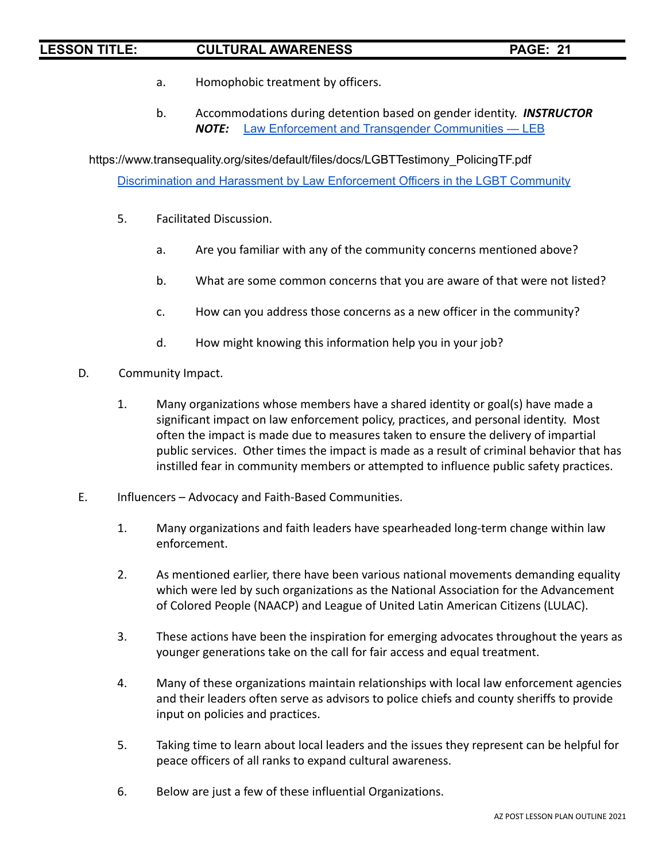- a. Homophobic treatment by officers.
- b. Accommodations during detention based on gender identity. *INSTRUCTOR NOTE:* Law Enforcement and Transgender [Communities](https://leb.fbi.gov/articles/featured-articles/law-enforcement-and-transgender-communities) — LEB

[https://www.transequality.org/sites/default/files/docs/LGBTTestimony\\_PolicingTF.pdf](https://www.transequality.org/sites/default/files/docs/LGBTTestimony_PolicingTF.pdf) [Discrimination](https://williamsinstitute.law.ucla.edu/wp-content/uploads/LGBT-Discrimination-by-Law-Enforcement-Mar-2015.pdf) and Harassment by Law Enforcement Officers in the LGBT Community

- 5. Facilitated Discussion.
	- a. Are you familiar with any of the community concerns mentioned above?
	- b. What are some common concerns that you are aware of that were not listed?
	- c. How can you address those concerns as a new officer in the community?
	- d. How might knowing this information help you in your job?
- D. Community Impact.
	- 1. Many organizations whose members have a shared identity or goal(s) have made a significant impact on law enforcement policy, practices, and personal identity. Most often the impact is made due to measures taken to ensure the delivery of impartial public services. Other times the impact is made as a result of criminal behavior that has instilled fear in community members or attempted to influence public safety practices.
- E. Influencers Advocacy and Faith-Based Communities.
	- 1. Many organizations and faith leaders have spearheaded long-term change within law enforcement.
	- 2. As mentioned earlier, there have been various national movements demanding equality which were led by such organizations as the National Association for the Advancement of Colored People (NAACP) and League of United Latin American Citizens (LULAC).
	- 3. These actions have been the inspiration for emerging advocates throughout the years as younger generations take on the call for fair access and equal treatment.
	- 4. Many of these organizations maintain relationships with local law enforcement agencies and their leaders often serve as advisors to police chiefs and county sheriffs to provide input on policies and practices.
	- 5. Taking time to learn about local leaders and the issues they represent can be helpful for peace officers of all ranks to expand cultural awareness.
	- 6. Below are just a few of these influential Organizations.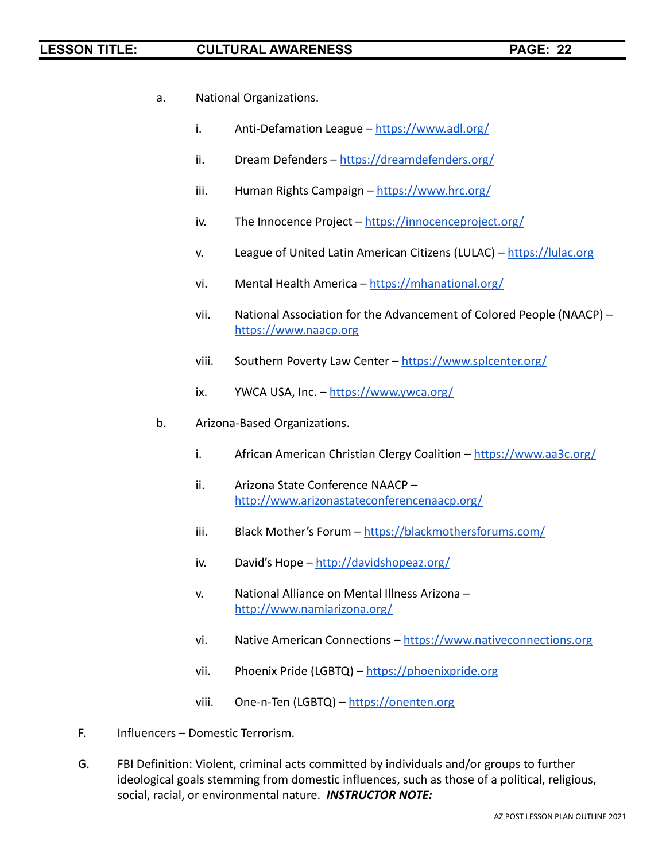- a. National Organizations.
	- i. Anti-Defamation League <https://www.adl.org/>
	- ii. Dream Defenders <https://dreamdefenders.org/>
	- iii. Human Rights Campaign <https://www.hrc.org/>
	- iv. The Innocence Project <https://innocenceproject.org/>
	- v. League of United Latin American Citizens (LULAC) <https://lulac.org>
	- vi. Mental Health America <https://mhanational.org/>
	- vii. National Association for the Advancement of Colored People (NAACP) <https://www.naacp.org>
	- viii. Southern Poverty Law Center <https://www.splcenter.org/>
	- ix. YWCA USA, Inc.  $-\frac{https://www.vwca.org/}{https://www.vwca.org/})$
- b. Arizona-Based Organizations.
	- i. African American Christian Clergy Coalition <https://www.aa3c.org/>
	- ii. Arizona State Conference NAACP <http://www.arizonastateconferencenaacp.org/>
	- iii. Black Mother's Forum <https://blackmothersforums.com/>
	- iv. David's Hope <http://davidshopeaz.org/>
	- v. National Alliance on Mental Illness Arizona <http://www.namiarizona.org/>
	- vi. Native American Connections <https://www.nativeconnections.org>
	- vii. Phoenix Pride (LGBTQ) <https://phoenixpride.org>
	- viii. One-n-Ten (LGBTQ) <https://onenten.org>
- F. Influencers Domestic Terrorism.
- G. FBI Definition: Violent, criminal acts committed by individuals and/or groups to further ideological goals stemming from domestic influences, such as those of a political, religious, social, racial, or environmental nature. *INSTRUCTOR NOTE:*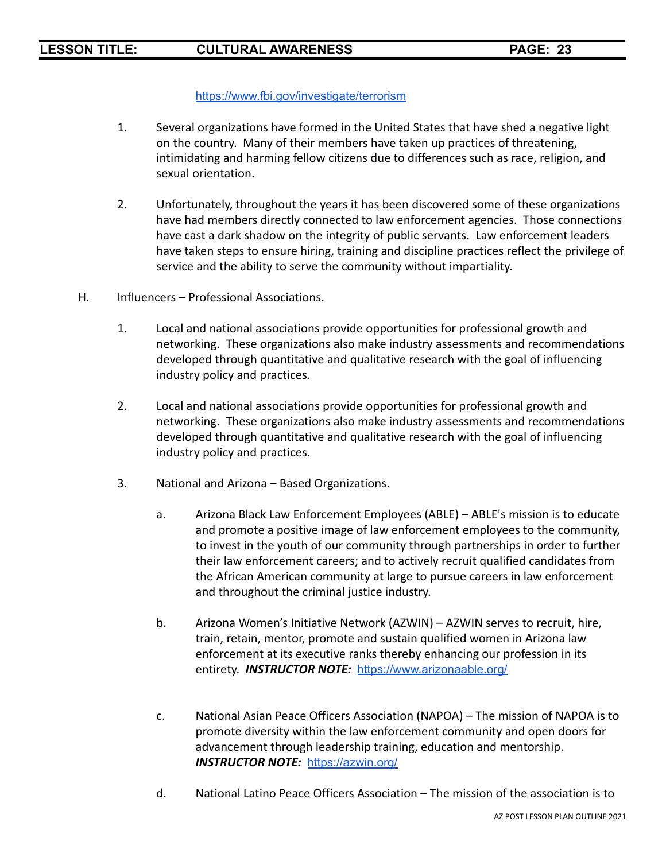### <https://www.fbi.gov/investigate/terrorism>

- 1. Several organizations have formed in the United States that have shed a negative light on the country. Many of their members have taken up practices of threatening, intimidating and harming fellow citizens due to differences such as race, religion, and sexual orientation.
- 2. Unfortunately, throughout the years it has been discovered some of these organizations have had members directly connected to law enforcement agencies. Those connections have cast a dark shadow on the integrity of public servants. Law enforcement leaders have taken steps to ensure hiring, training and discipline practices reflect the privilege of service and the ability to serve the community without impartiality.
- H. Influencers Professional Associations.
	- 1. Local and national associations provide opportunities for professional growth and networking. These organizations also make industry assessments and recommendations developed through quantitative and qualitative research with the goal of influencing industry policy and practices.
	- 2. Local and national associations provide opportunities for professional growth and networking. These organizations also make industry assessments and recommendations developed through quantitative and qualitative research with the goal of influencing industry policy and practices.
	- 3. National and Arizona Based Organizations.
		- a. Arizona Black Law Enforcement Employees (ABLE) ABLE's mission is to educate and promote a positive image of law enforcement employees to the community, to invest in the youth of our community through partnerships in order to further their law enforcement careers; and to actively recruit qualified candidates from the African American community at large to pursue careers in law enforcement and throughout the criminal justice industry.
		- b. Arizona Women's Initiative Network (AZWIN) AZWIN serves to recruit, hire, train, retain, mentor, promote and sustain qualified women in Arizona law enforcement at its executive ranks thereby enhancing our profession in its entirety. *INSTRUCTOR NOTE:* <https://www.arizonaable.org/>
		- c. National Asian Peace Officers Association (NAPOA) The mission of NAPOA is to promote diversity within the law enforcement community and open doors for advancement through leadership training, education and mentorship. *INSTRUCTOR NOTE:* <https://azwin.org/>
		- d. National Latino Peace Officers Association The mission of the association is to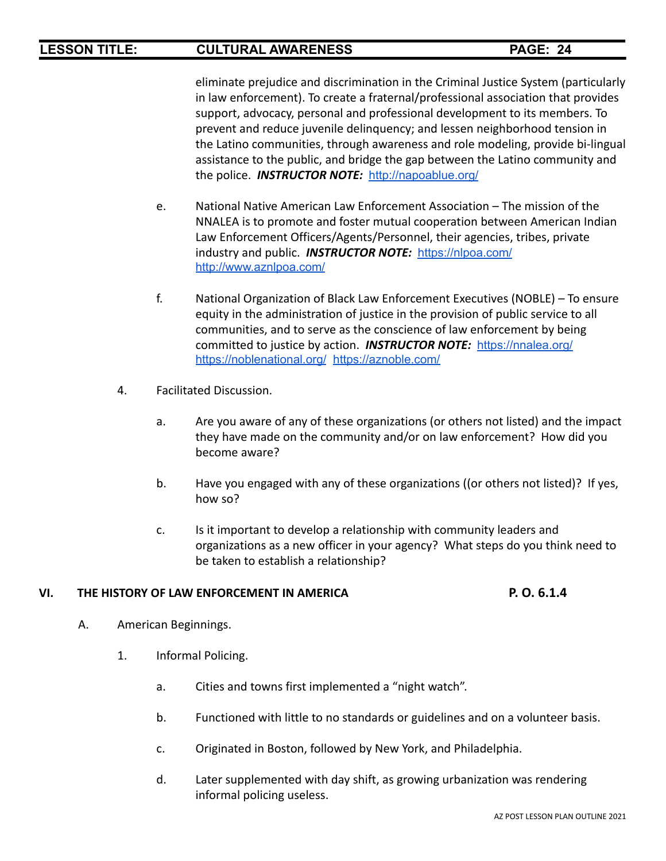eliminate prejudice and discrimination in the Criminal Justice System (particularly in law enforcement). To create a fraternal/professional association that provides support, advocacy, personal and professional development to its members. To prevent and reduce juvenile delinquency; and lessen neighborhood tension in the Latino communities, through awareness and role modeling, provide bi-lingual assistance to the public, and bridge the gap between the Latino community and the police. *INSTRUCTOR NOTE:* <http://napoablue.org/>

- e. National Native American Law Enforcement Association The mission of the NNALEA is to promote and foster mutual cooperation between American Indian Law Enforcement Officers/Agents/Personnel, their agencies, tribes, private industry and public. *INSTRUCTOR NOTE:* <https://nlpoa.com/> <http://www.aznlpoa.com/>
- f. National Organization of Black Law Enforcement Executives (NOBLE) To ensure equity in the administration of justice in the provision of public service to all communities, and to serve as the conscience of law enforcement by being committed to justice by action. *INSTRUCTOR NOTE:* <https://nnalea.org/> <https://noblenational.org/> <https://aznoble.com/>
- 4. Facilitated Discussion.
	- a. Are you aware of any of these organizations (or others not listed) and the impact they have made on the community and/or on law enforcement? How did you become aware?
	- b. Have you engaged with any of these organizations ((or others not listed)? If yes, how so?
	- c. Is it important to develop a relationship with community leaders and organizations as a new officer in your agency? What steps do you think need to be taken to establish a relationship?

### **VI. THE HISTORY OF LAW ENFORCEMENT IN AMERICA P. O. 6.1.4**

- A. American Beginnings.
	- 1. Informal Policing.
		- a. Cities and towns first implemented a "night watch".
		- b. Functioned with little to no standards or guidelines and on a volunteer basis.
		- c. Originated in Boston, followed by New York, and Philadelphia.
		- d. Later supplemented with day shift, as growing urbanization was rendering informal policing useless.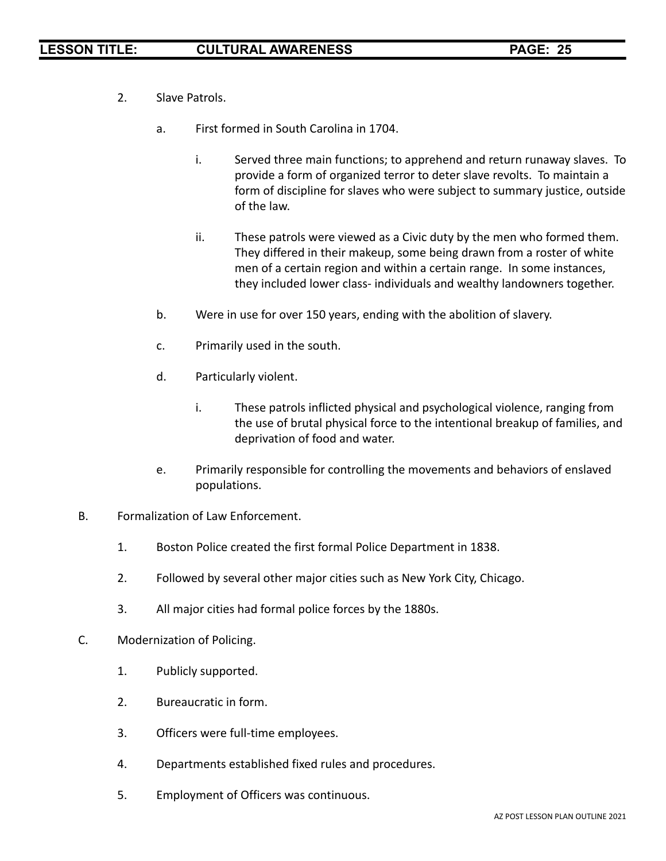- 2. Slave Patrols.
	- a. First formed in South Carolina in 1704.
		- i. Served three main functions; to apprehend and return runaway slaves. To provide a form of organized terror to deter slave revolts. To maintain a form of discipline for slaves who were subject to summary justice, outside of the law.
		- ii. These patrols were viewed as a Civic duty by the men who formed them. They differed in their makeup, some being drawn from a roster of white men of a certain region and within a certain range. In some instances, they included lower class- individuals and wealthy landowners together.
	- b. Were in use for over 150 years, ending with the abolition of slavery.
	- c. Primarily used in the south.
	- d. Particularly violent.
		- i. These patrols inflicted physical and psychological violence, ranging from the use of brutal physical force to the intentional breakup of families, and deprivation of food and water.
	- e. Primarily responsible for controlling the movements and behaviors of enslaved populations.
- B. Formalization of Law Enforcement.
	- 1. Boston Police created the first formal Police Department in 1838.
	- 2. Followed by several other major cities such as New York City, Chicago.
	- 3. All major cities had formal police forces by the 1880s.
- C. Modernization of Policing.
	- 1. Publicly supported.
	- 2. Bureaucratic in form.
	- 3. Officers were full-time employees.
	- 4. Departments established fixed rules and procedures.
	- 5. Employment of Officers was continuous.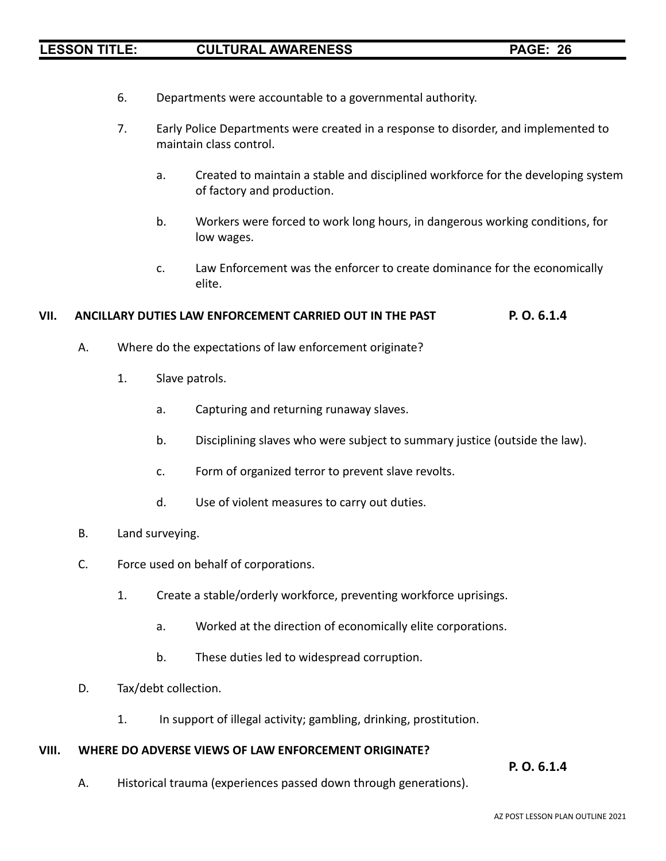- 6. Departments were accountable to a governmental authority.
- 7. Early Police Departments were created in a response to disorder, and implemented to maintain class control.
	- a. Created to maintain a stable and disciplined workforce for the developing system of factory and production.
	- b. Workers were forced to work long hours, in dangerous working conditions, for low wages.
	- c. Law Enforcement was the enforcer to create dominance for the economically elite.

### **VII. ANCILLARY DUTIES LAW ENFORCEMENT CARRIED OUT IN THE PAST P. O. 6.1.4**

- A. Where do the expectations of law enforcement originate?
	- 1. Slave patrols.
		- a. Capturing and returning runaway slaves.
		- b. Disciplining slaves who were subject to summary justice (outside the law).
		- c. Form of organized terror to prevent slave revolts.
		- d. Use of violent measures to carry out duties.
- B. Land surveying.
- C. Force used on behalf of corporations.
	- 1. Create a stable/orderly workforce, preventing workforce uprisings.
		- a. Worked at the direction of economically elite corporations.
		- b. These duties led to widespread corruption.
- D. Tax/debt collection.
	- 1. In support of illegal activity; gambling, drinking, prostitution.

### **VIII. WHERE DO ADVERSE VIEWS OF LAW ENFORCEMENT ORIGINATE?**

**P. O. 6.1.4**

A. Historical trauma (experiences passed down through generations).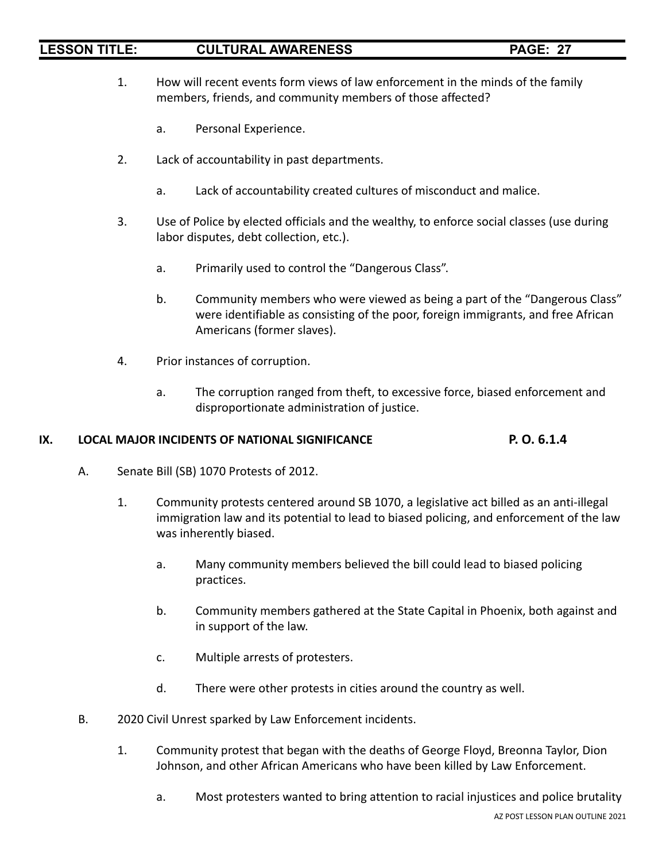- 1. How will recent events form views of law enforcement in the minds of the family members, friends, and community members of those affected?
	- a. Personal Experience.
- 2. Lack of accountability in past departments.
	- a. Lack of accountability created cultures of misconduct and malice.
- 3. Use of Police by elected officials and the wealthy, to enforce social classes (use during labor disputes, debt collection, etc.).
	- a. Primarily used to control the "Dangerous Class".
	- b. Community members who were viewed as being a part of the "Dangerous Class" were identifiable as consisting of the poor, foreign immigrants, and free African Americans (former slaves).
- 4. Prior instances of corruption.
	- a. The corruption ranged from theft, to excessive force, biased enforcement and disproportionate administration of justice.

# **IX. LOCAL MAJOR INCIDENTS OF NATIONAL SIGNIFICANCE P. O. 6.1.4**

- A. Senate Bill (SB) 1070 Protests of 2012.
	- 1. Community protests centered around SB 1070, a legislative act billed as an anti-illegal immigration law and its potential to lead to biased policing, and enforcement of the law was inherently biased.
		- a. Many community members believed the bill could lead to biased policing practices.
		- b. Community members gathered at the State Capital in Phoenix, both against and in support of the law.
		- c. Multiple arrests of protesters.
		- d. There were other protests in cities around the country as well.
- B. 2020 Civil Unrest sparked by Law Enforcement incidents.
	- 1. Community protest that began with the deaths of George Floyd, Breonna Taylor, Dion Johnson, and other African Americans who have been killed by Law Enforcement.
		- a. Most protesters wanted to bring attention to racial injustices and police brutality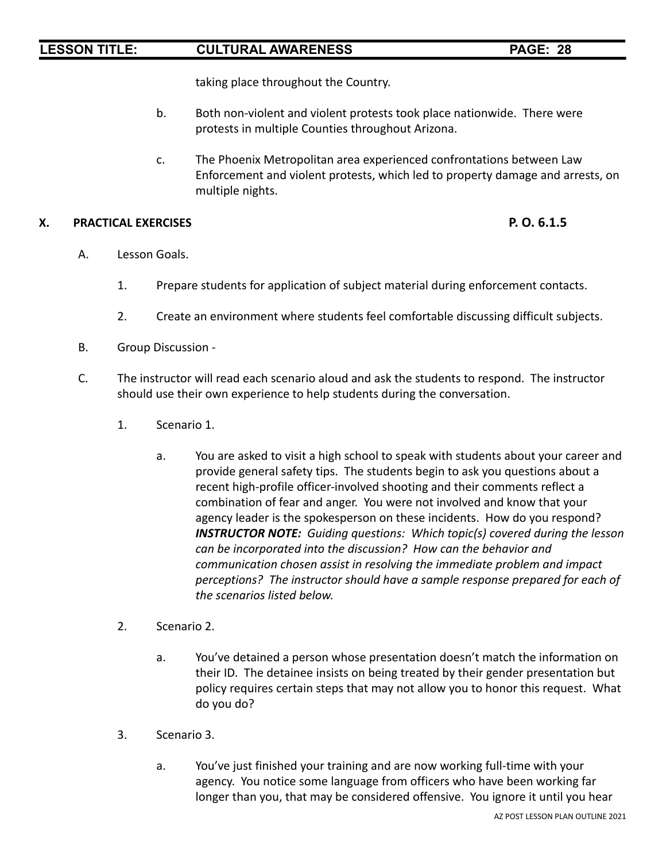taking place throughout the Country.

- b. Both non-violent and violent protests took place nationwide. There were protests in multiple Counties throughout Arizona.
- c. The Phoenix Metropolitan area experienced confrontations between Law Enforcement and violent protests, which led to property damage and arrests, on multiple nights.

## **X. PRACTICAL EXERCISES P. O. 6.1.5**

- A. Lesson Goals.
	- 1. Prepare students for application of subject material during enforcement contacts.
	- 2. Create an environment where students feel comfortable discussing difficult subjects.
- B. Group Discussion -
- C. The instructor will read each scenario aloud and ask the students to respond. The instructor should use their own experience to help students during the conversation.
	- 1. Scenario 1.
		- a. You are asked to visit a high school to speak with students about your career and provide general safety tips. The students begin to ask you questions about a recent high-profile officer-involved shooting and their comments reflect a combination of fear and anger. You were not involved and know that your agency leader is the spokesperson on these incidents. How do you respond? *INSTRUCTOR NOTE: Guiding questions: Which topic(s) covered during the lesson can be incorporated into the discussion? How can the behavior and communication chosen assist in resolving the immediate problem and impact perceptions? The instructor should have a sample response prepared for each of the scenarios listed below.*
	- 2. Scenario 2.
		- a. You've detained a person whose presentation doesn't match the information on their ID. The detainee insists on being treated by their gender presentation but policy requires certain steps that may not allow you to honor this request. What do you do?
	- 3. Scenario 3.
		- a. You've just finished your training and are now working full-time with your agency. You notice some language from officers who have been working far longer than you, that may be considered offensive. You ignore it until you hear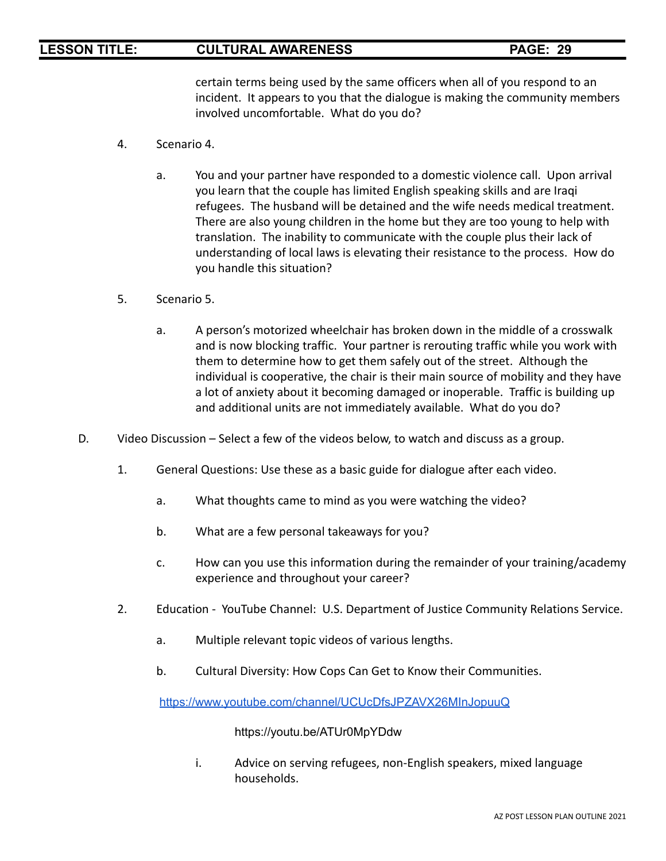certain terms being used by the same officers when all of you respond to an incident. It appears to you that the dialogue is making the community members involved uncomfortable. What do you do?

- 4. Scenario 4.
	- a. You and your partner have responded to a domestic violence call. Upon arrival you learn that the couple has limited English speaking skills and are Iraqi refugees. The husband will be detained and the wife needs medical treatment. There are also young children in the home but they are too young to help with translation. The inability to communicate with the couple plus their lack of understanding of local laws is elevating their resistance to the process. How do you handle this situation?
- 5. Scenario 5.
	- a. A person's motorized wheelchair has broken down in the middle of a crosswalk and is now blocking traffic. Your partner is rerouting traffic while you work with them to determine how to get them safely out of the street. Although the individual is cooperative, the chair is their main source of mobility and they have a lot of anxiety about it becoming damaged or inoperable. Traffic is building up and additional units are not immediately available. What do you do?
- D. Video Discussion Select a few of the videos below, to watch and discuss as a group.
	- 1. General Questions: Use these as a basic guide for dialogue after each video.
		- a. What thoughts came to mind as you were watching the video?
		- b. What are a few personal takeaways for you?
		- c. How can you use this information during the remainder of your training/academy experience and throughout your career?
	- 2. Education YouTube Channel: U.S. Department of Justice Community Relations Service.
		- a. Multiple relevant topic videos of various lengths.
		- b. Cultural Diversity: How Cops Can Get to Know their Communities.

<https://www.youtube.com/channel/UCUcDfsJPZAVX26MInJopuuQ>

<https://youtu.be/ATUr0MpYDdw>

i. Advice on serving refugees, non-English speakers, mixed language households.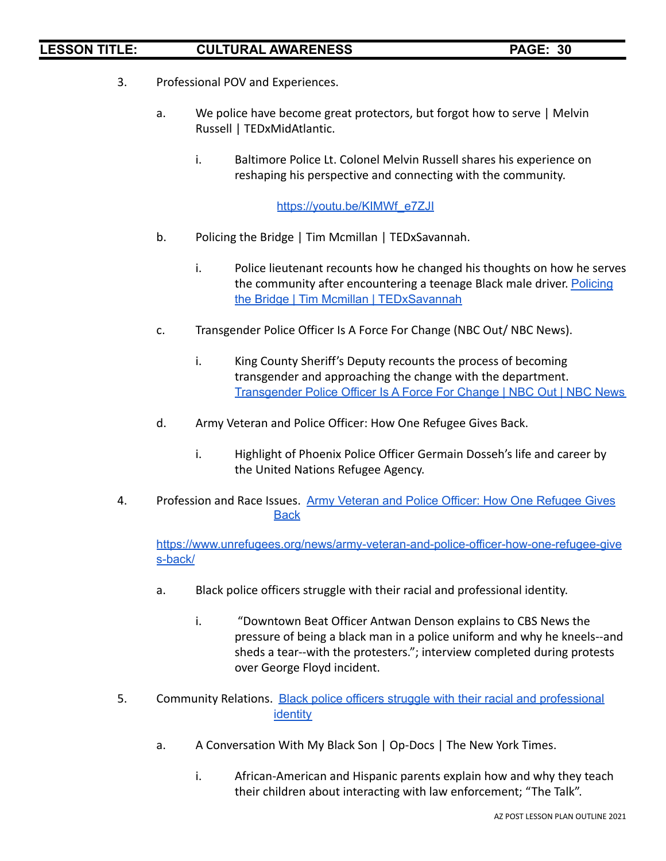- 3. Professional POV and Experiences.
	- a. We police have become great protectors, but forgot how to serve | Melvin Russell | TEDxMidAtlantic.
		- i. Baltimore Police Lt. Colonel Melvin Russell shares his experience on reshaping his perspective and connecting with the community.

[https://youtu.be/KIMWf\\_e7ZJI](https://youtu.be/KIMWf_e7ZJI)

- b. Policing the Bridge | Tim Mcmillan | TEDxSavannah.
	- i. Police lieutenant recounts how he changed his thoughts on how he serves the community after encountering a teenage Black male driver. [Policing](https://youtu.be/lz7fva4OQzo) the Bridge | Tim Mcmillan | [TEDxSavannah](https://youtu.be/lz7fva4OQzo)
- c. Transgender Police Officer Is A Force For Change (NBC Out/ NBC News).
	- i. King County Sheriff's Deputy recounts the process of becoming transgender and approaching the change with the department. [Transgender](https://youtu.be/Zl_RjjctHVw) Police Officer Is A Force For Change | NBC Out | NBC News
- d. Army Veteran and Police Officer: How One Refugee Gives Back.
	- i. Highlight of Phoenix Police Officer Germain Dosseh's life and career by the United Nations Refugee Agency.
- 4. Profession and Race Issues. Army Veteran and Police Officer: How One [Refugee](https://youtu.be/hzwyM-jjv10) Gives **[Back](https://youtu.be/hzwyM-jjv10)**

[https://www.unrefugees.org/news/army-veteran-and-police-officer-how-one-refugee-give](https://www.unrefugees.org/news/army-veteran-and-police-officer-how-one-refugee-gives-back/) [s-back/](https://www.unrefugees.org/news/army-veteran-and-police-officer-how-one-refugee-gives-back/)

- a. Black police officers struggle with their racial and professional identity.
	- i. "Downtown Beat Officer Antwan Denson explains to CBS News the pressure of being a black man in a police uniform and why he kneels--and sheds a tear--with the protesters."; interview completed during protests over George Floyd incident.
- 5. Community Relations. Black police officers struggle with their racial and [professional](https://youtu.be/8c22zJu_qIo) [identity](https://youtu.be/8c22zJu_qIo)
	- a. A Conversation With My Black Son | Op-Docs | The New York Times.
		- i. African-American and Hispanic parents explain how and why they teach their children about interacting with law enforcement; "The Talk".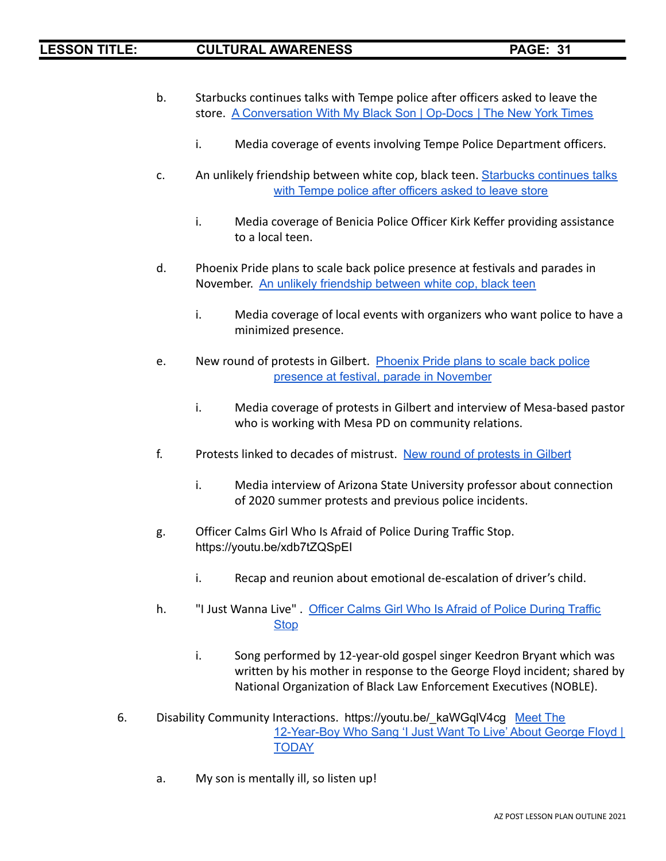- b. Starbucks continues talks with Tempe police after officers asked to leave the store. A [Conversation](https://youtu.be/lXgfX1y60Gw) With My Black Son | Op-Docs | The New York Times
	- i. Media coverage of events involving Tempe Police Department officers.
- c. An unlikely friendship between white cop, black teen. [Starbucks](https://youtu.be/G05zlz9CNKU) continues talks with Tempe police after [officers](https://youtu.be/G05zlz9CNKU) asked to leave store
	- i. Media coverage of Benicia Police Officer Kirk Keffer providing assistance to a local teen.
- d. Phoenix Pride plans to scale back police presence at festivals and parades in November. An unlikely [friendship](https://youtu.be/S1rBlWOCE3E) between white cop, black teen
	- i. Media coverage of local events with organizers who want police to have a minimized presence.
- e. New round of protests in Gilbert. [Phoenix](https://youtu.be/K41VKJUcVko) Pride plans to scale back police presence at festival, parade in [November](https://youtu.be/K41VKJUcVko)
	- i. Media coverage of protests in Gilbert and interview of Mesa-based pastor who is working with Mesa PD on community relations.
- f. Protests linked to decades of mistrust. New round of [protests](https://youtu.be/XuJkQCEFjOU) in Gilbert
	- i. Media interview of Arizona State University professor about connection of 2020 summer protests and previous police incidents.
- g. Officer Calms Girl Who Is Afraid of Police During Traffic Stop. <https://youtu.be/xdb7tZQSpEI>
	- i. Recap and reunion about emotional de-escalation of driver's child.
- h. "I Just Wanna Live". Officer Calms Girl Who Is Afraid of Police [During](https://youtu.be/zrt2_ZghvWc) Traffic [Stop](https://youtu.be/zrt2_ZghvWc)
	- i. Song performed by 12-year-old gospel singer Keedron Bryant which was written by his mother in response to the George Floyd incident; shared by National Organization of Black Law Enforcement Executives (NOBLE).
- 6. Disability Community Interactions. [https://youtu.be/\\_kaWGqlV4cg](https://youtu.be/_kaWGqlV4cg) [Meet](https://youtu.be/Bs4QJySqxJg) The [12-Year-Boy](https://youtu.be/Bs4QJySqxJg) Who Sang 'I Just Want To Live' About George Floyd | **[TODAY](https://youtu.be/Bs4QJySqxJg)** 
	- a. My son is mentally ill, so listen up!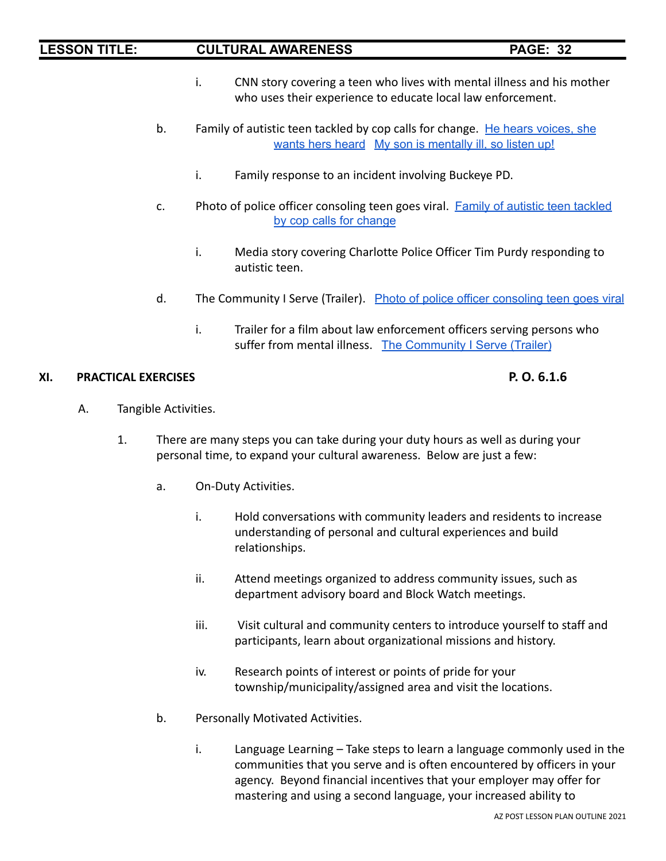- i. CNN story covering a teen who lives with mental illness and his mother who uses their experience to educate local law enforcement.
- b. Family of autistic teen tackled by cop calls for change. He hears [voices,](https://youtu.be/WAX5OnA9tZU) she [wants](https://youtu.be/WAX5OnA9tZU) hers heard My son is [mentally](https://youtu.be/yTV08HNxp6Q) ill, so listen up!
	- i. Family response to an incident involving Buckeye PD.
- c. Photo of police officer consoling teen goes viral. Family of autistic teen [tackled](https://youtu.be/kwwQvGj5xyE) by cop calls for [change](https://youtu.be/kwwQvGj5xyE)
	- i. Media story covering Charlotte Police Officer Tim Purdy responding to autistic teen.
- d. The Community I Serve (Trailer). Photo of police officer [consoling](https://youtu.be/49b8EJFqqPQ) teen goes viral
	- i. Trailer for a film about law enforcement officers serving persons who suffer from mental illness. The [Community](https://youtu.be/tS6s4IK4Cp0) I Serve (Trailer)

### **XI. PRACTICAL EXERCISES P. O. 6.1.6**

- A. Tangible Activities.
	- 1. There are many steps you can take during your duty hours as well as during your personal time, to expand your cultural awareness. Below are just a few:
		- a. On-Duty Activities.
			- i. Hold conversations with community leaders and residents to increase understanding of personal and cultural experiences and build relationships.
			- ii. Attend meetings organized to address community issues, such as department advisory board and Block Watch meetings.
			- iii. Visit cultural and community centers to introduce yourself to staff and participants, learn about organizational missions and history.
			- iv. Research points of interest or points of pride for your township/municipality/assigned area and visit the locations.
		- b. Personally Motivated Activities.
			- i. Language Learning Take steps to learn a language commonly used in the communities that you serve and is often encountered by officers in your agency. Beyond financial incentives that your employer may offer for mastering and using a second language, your increased ability to